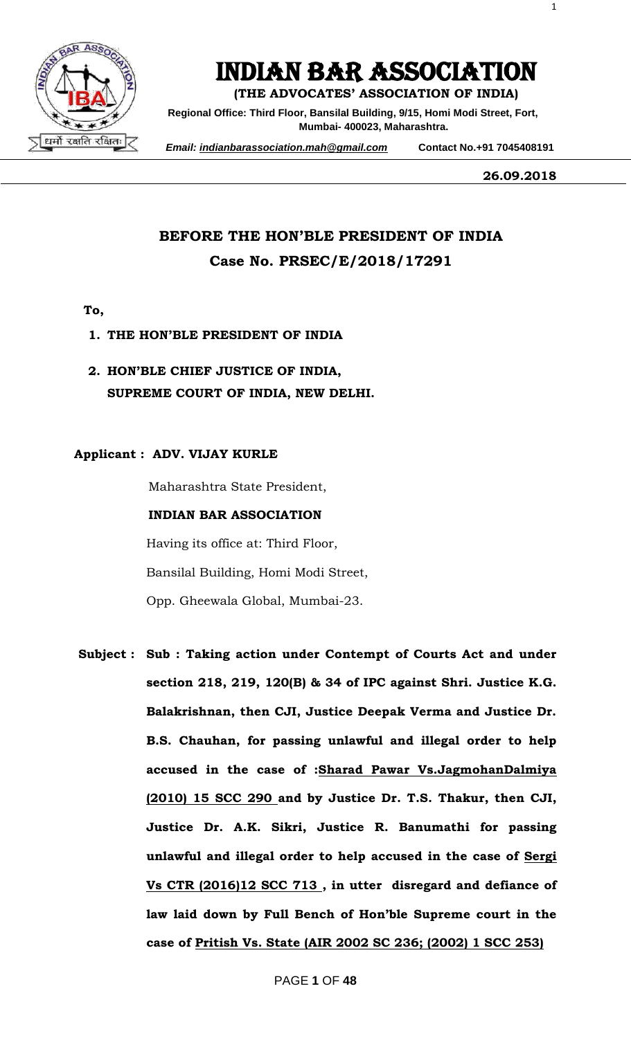

# INDIAN BAR ASSOCIATION

**(THE ADVOCATES' ASSOCIATION OF INDIA)**

**Regional Office: Third Floor, Bansilal Building, 9/15, Homi Modi Street, Fort, Mumbai- 400023, Maharashtra.**

 *Email: indianbarassociation.mah@gmail.com* **Contact No.+91 7045408191**

**26.09.2018**

1

### **BEFORE THE HON'BLE PRESIDENT OF INDIA Case No. PRSEC/E/2018/17291**

- **To,**
- **1. THE HON'BLE PRESIDENT OF INDIA**
- **2. HON'BLE CHIEF JUSTICE OF INDIA, SUPREME COURT OF INDIA, NEW DELHI.**

#### **Applicant : ADV. VIJAY KURLE**

Maharashtra State President,

#### **INDIAN BAR ASSOCIATION**

Having its office at: Third Floor, Bansilal Building, Homi Modi Street, Opp. Gheewala Global, Mumbai-23.

**Subject : Sub : Taking action under Contempt of Courts Act and under section 218, 219, 120(B) & 34 of IPC against Shri. Justice K.G. Balakrishnan, then CJI, Justice Deepak Verma and Justice Dr. B.S. Chauhan, for passing unlawful and illegal order to help accused in the case of :Sharad Pawar Vs.JagmohanDalmiya (2010) 15 SCC 290 and by Justice Dr. T.S. Thakur, then CJI, Justice Dr. A.K. Sikri, Justice R. Banumathi for passing unlawful and illegal order to help accused in the case of Sergi Vs CTR (2016)12 SCC 713 , in utter disregard and defiance of law laid down by Full Bench of Hon'ble Supreme court in the case of Pritish Vs. State (AIR 2002 SC 236; (2002) 1 SCC 253)**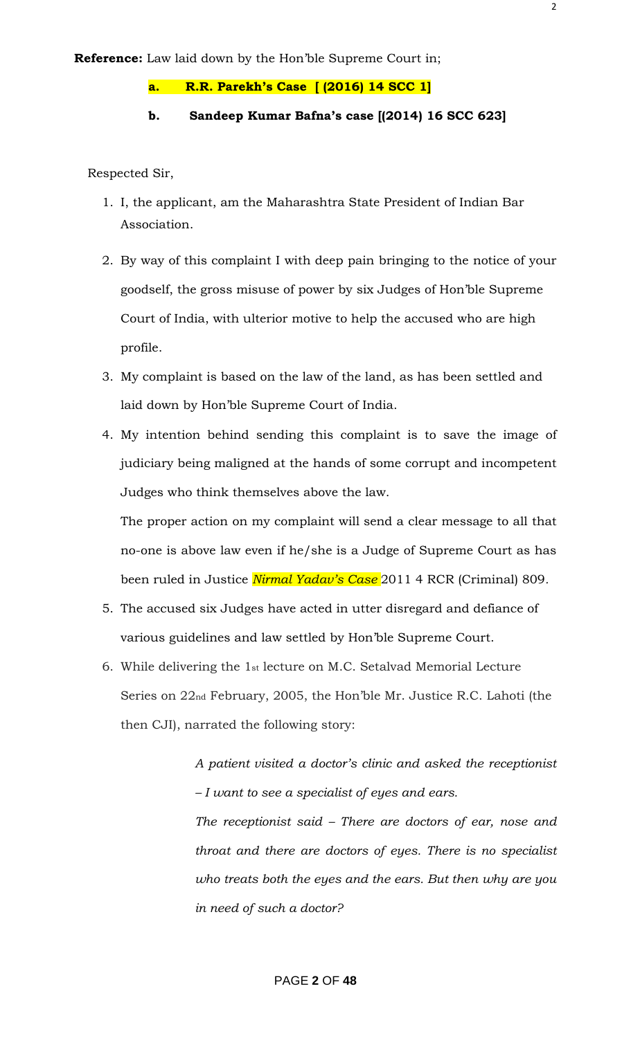#### **a. R.R. Parekh's Case [ (2016) 14 SCC 1]**

#### **b. Sandeep Kumar Bafna's case [(2014) 16 SCC 623]**

Respected Sir,

- 1. I, the applicant, am the Maharashtra State President of Indian Bar Association.
- 2. By way of this complaint I with deep pain bringing to the notice of your goodself, the gross misuse of power by six Judges of Hon"ble Supreme Court of India, with ulterior motive to help the accused who are high profile.
- 3. My complaint is based on the law of the land, as has been settled and laid down by Hon"ble Supreme Court of India.
- 4. My intention behind sending this complaint is to save the image of judiciary being maligned at the hands of some corrupt and incompetent Judges who think themselves above the law.

The proper action on my complaint will send a clear message to all that no-one is above law even if he/she is a Judge of Supreme Court as has been ruled in Justice *Nirmal Yadav"s Case* 2011 4 RCR (Criminal) 809*.*

- 5. The accused six Judges have acted in utter disregard and defiance of various guidelines and law settled by Hon"ble Supreme Court.
- 6. While delivering the 1st lecture on M.C. Setalvad Memorial Lecture Series on 22nd February, 2005, the Hon"ble Mr. Justice R.C. Lahoti (the then CJI), narrated the following story:

*A patient visited a doctor"s clinic and asked the receptionist – I want to see a specialist of eyes and ears.*

*The receptionist said – There are doctors of ear, nose and throat and there are doctors of eyes. There is no specialist who treats both the eyes and the ears. But then why are you in need of such a doctor?*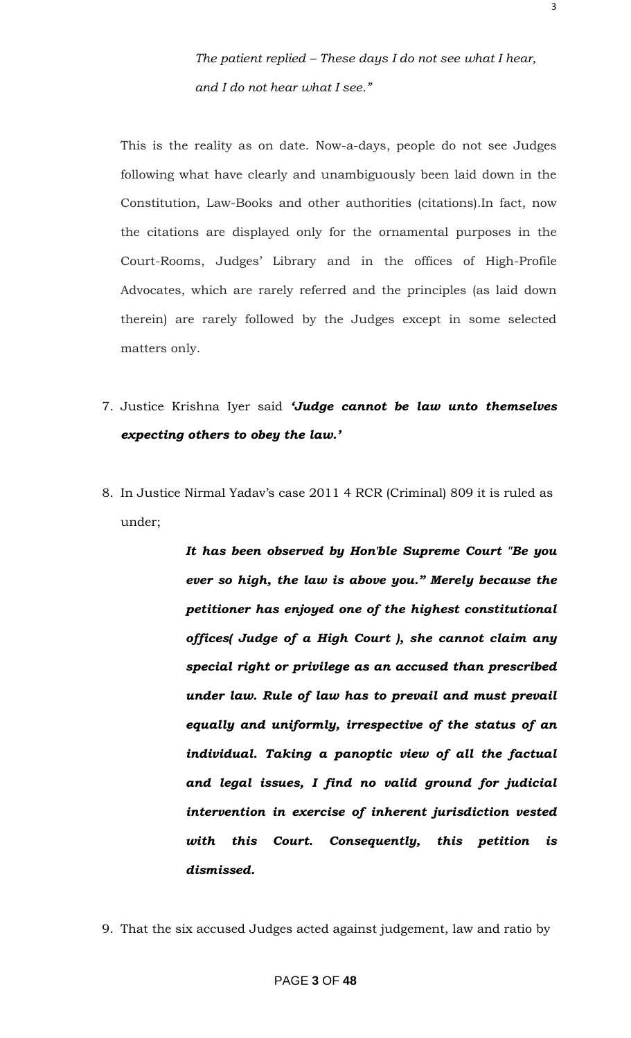This is the reality as on date. Now-a-days, people do not see Judges following what have clearly and unambiguously been laid down in the Constitution, Law-Books and other authorities (citations).In fact, now the citations are displayed only for the ornamental purposes in the Court-Rooms, Judges" Library and in the offices of High-Profile Advocates, which are rarely referred and the principles (as laid down therein) are rarely followed by the Judges except in some selected matters only.

- 7. Justice Krishna Iyer said *"Judge cannot be law unto themselves expecting others to obey the law."*
- 8. In Justice Nirmal Yadav"s case 2011 4 RCR (Criminal) 809 it is ruled as under;

*It has been observed by Hon'ble Supreme Court "Be you ever so high, the law is above you." Merely because the petitioner has enjoyed one of the highest constitutional offices( Judge of a High Court ), she cannot claim any special right or privilege as an accused than prescribed under law. Rule of law has to prevail and must prevail equally and uniformly, irrespective of the status of an individual. Taking a panoptic view of all the factual and legal issues, I find no valid ground for judicial intervention in exercise of inherent jurisdiction vested with this Court. Consequently, this petition is dismissed.*

9. That the six accused Judges acted against judgement, law and ratio by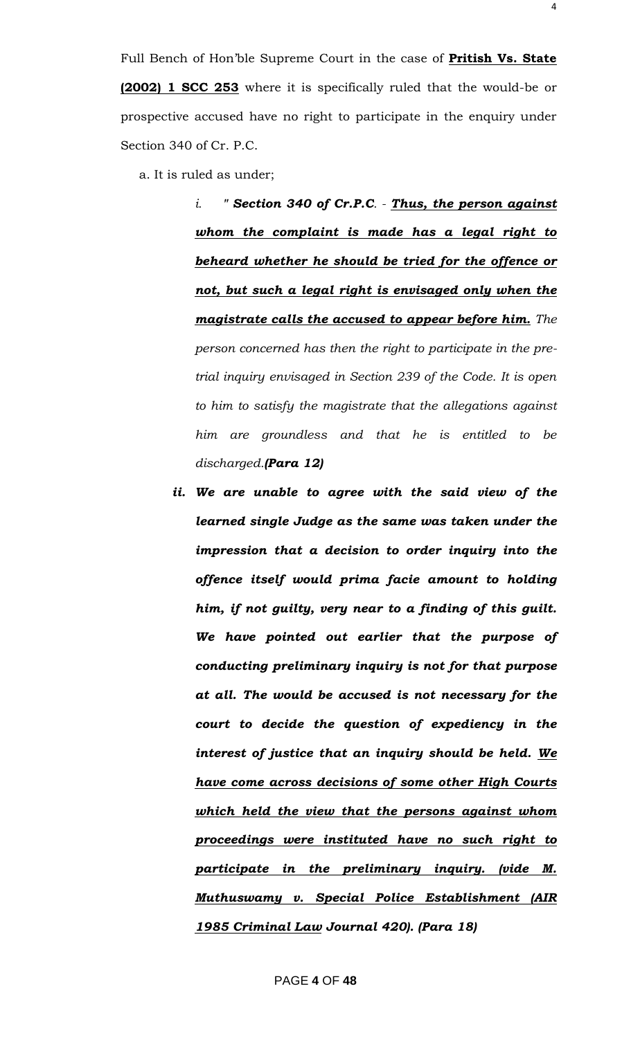Full Bench of Hon"ble Supreme Court in the case of **Pritish Vs. State (2002) 1 SCC 253** where it is specifically ruled that the would-be or prospective accused have no right to participate in the enquiry under Section 340 of Cr. P.C.

a. It is ruled as under;

*i. " Section 340 of Cr.P.C. - Thus, the person against whom the complaint is made has a legal right to beheard whether he should be tried for the offence or not, but such a legal right is envisaged only when the magistrate calls the accused to appear before him. The person concerned has then the right to participate in the pretrial inquiry envisaged in Section 239 of the Code. It is open to him to satisfy the magistrate that the allegations against him are groundless and that he is entitled to be discharged.(Para 12)*

*ii. We are unable to agree with the said view of the learned single Judge as the same was taken under the impression that a decision to order inquiry into the offence itself would prima facie amount to holding him, if not guilty, very near to a finding of this guilt. We have pointed out earlier that the purpose of conducting preliminary inquiry is not for that purpose at all. The would be accused is not necessary for the court to decide the question of expediency in the interest of justice that an inquiry should be held. We have come across decisions of some other High Courts which held the view that the persons against whom proceedings were instituted have no such right to participate in the preliminary inquiry. (vide M. Muthuswamy v. Special Police Establishment (AIR 1985 Criminal Law Journal 420). (Para 18)*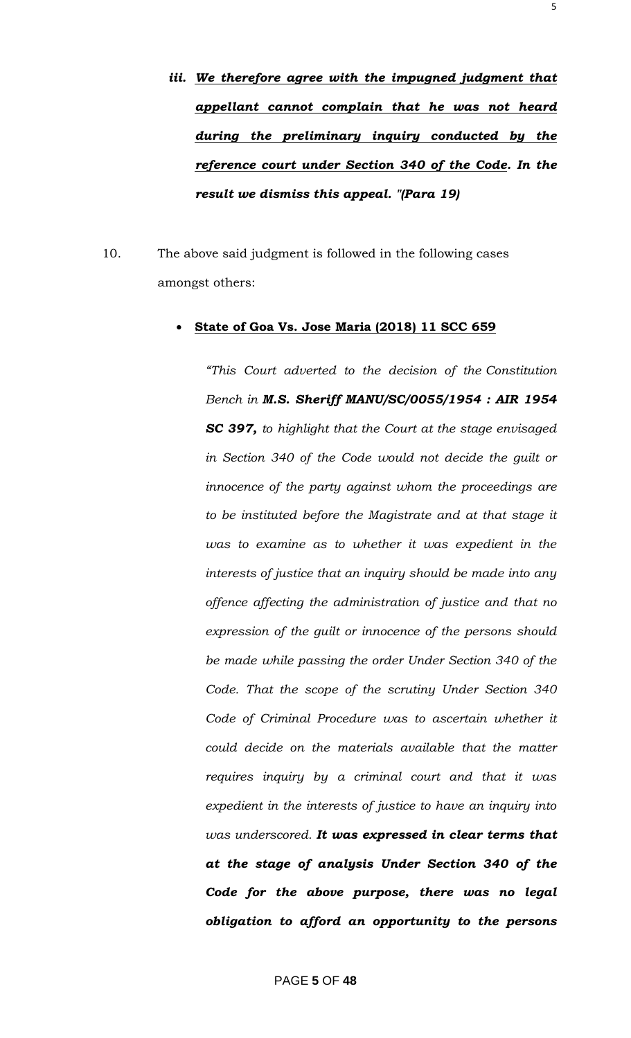*iii. We therefore agree with the impugned judgment that appellant cannot complain that he was not heard during the preliminary inquiry conducted by the reference court under Section 340 of the Code. In the result we dismiss this appeal. "(Para 19)*

10. The above said judgment is followed in the following cases amongst others:

#### **State of Goa Vs. Jose Maria (2018) 11 SCC 659**

*"This Court adverted to the decision of the Constitution Bench in M.S. Sheriff MANU/SC/0055/1954 : AIR 1954 SC 397, to highlight that the Court at the stage envisaged in Section 340 of the Code would not decide the guilt or innocence of the party against whom the proceedings are to be instituted before the Magistrate and at that stage it was to examine as to whether it was expedient in the interests of justice that an inquiry should be made into any offence affecting the administration of justice and that no expression of the guilt or innocence of the persons should be made while passing the order Under Section 340 of the Code. That the scope of the scrutiny Under Section 340 Code of Criminal Procedure was to ascertain whether it could decide on the materials available that the matter requires inquiry by a criminal court and that it was expedient in the interests of justice to have an inquiry into was underscored. It was expressed in clear terms that at the stage of analysis Under Section 340 of the Code for the above purpose, there was no legal obligation to afford an opportunity to the persons*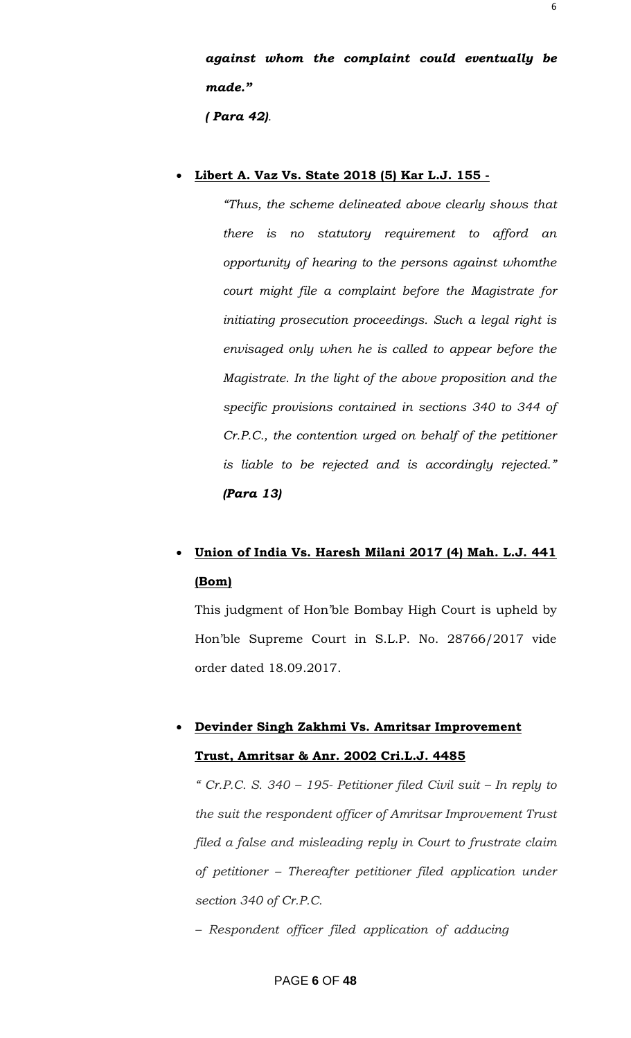*against whom the complaint could eventually be made."*

*( Para 42).*

#### **Libert A. Vaz Vs. State 2018 (5) Kar L.J. 155 -**

*"Thus, the scheme delineated above clearly shows that there is no statutory requirement to afford an opportunity of hearing to the persons against whomthe court might file a complaint before the Magistrate for initiating prosecution proceedings. Such a legal right is envisaged only when he is called to appear before the Magistrate. In the light of the above proposition and the specific provisions contained in sections 340 to 344 of Cr.P.C., the contention urged on behalf of the petitioner is liable to be rejected and is accordingly rejected." (Para 13)*

## **Union of India Vs. Haresh Milani 2017 (4) Mah. L.J. 441 (Bom)**

This judgment of Hon"ble Bombay High Court is upheld by Hon"ble Supreme Court in S.L.P. No. 28766/2017 vide order dated 18.09.2017.

## **Devinder Singh Zakhmi Vs. Amritsar Improvement Trust, Amritsar & Anr. 2002 Cri.L.J. 4485**

*" Cr.P.C. S. 340 – 195- Petitioner filed Civil suit – In reply to the suit the respondent officer of Amritsar Improvement Trust filed a false and misleading reply in Court to frustrate claim of petitioner – Thereafter petitioner filed application under section 340 of Cr.P.C.*

*– Respondent officer filed application of adducing*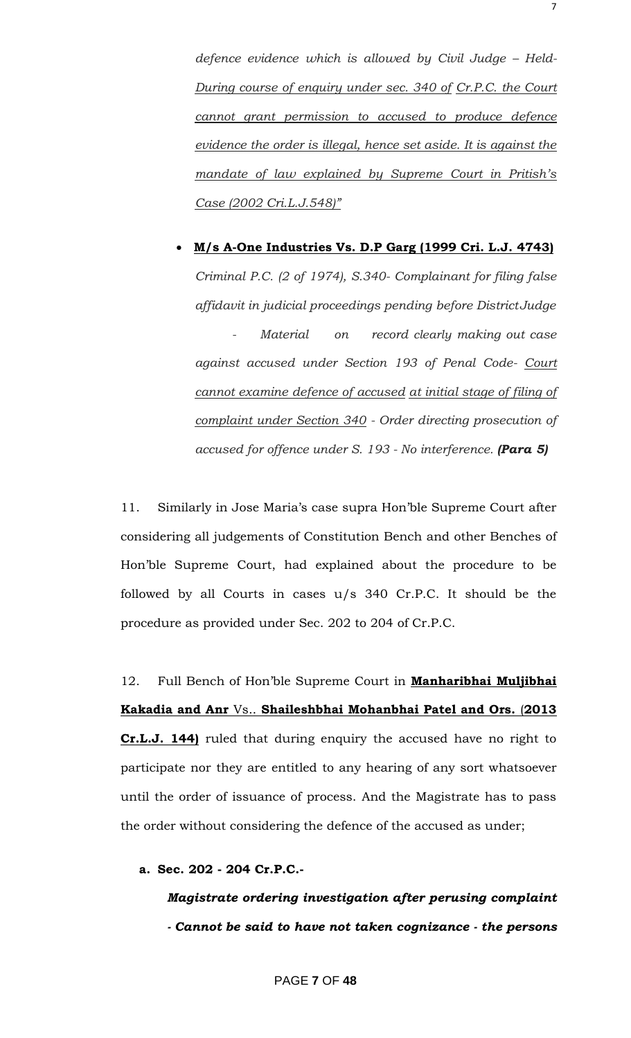defence evidence which is allowed by Civil Judge - Held-*During course of enquiry under sec. 340 of Cr.P.C. the Court cannot grant permission to accused to produce defence evidence the order is illegal, hence set aside. It is against the mandate of law explained by Supreme Court in Pritish"s Case (2002 Cri.L.J.548)"*

# **M/s A-One Industries Vs. D.P Garg (1999 Cri. L.J. 4743)** *Criminal P.C. (2 of 1974), S.340- Complainant for filing false affidavit in judicial proceedings pending before DistrictJudge - Material on record clearly making out case against accused under Section 193 of Penal Code- Court cannot examine defence of accused at initial stage of filing of complaint under Section 340 - Order directing prosecution of accused for offence under S. 193 - No interference. (Para 5)*

11. Similarly in Jose Maria's case supra Hon'ble Supreme Court after considering all judgements of Constitution Bench and other Benches of Hon"ble Supreme Court, had explained about the procedure to be followed by all Courts in cases u/s 340 Cr.P.C. It should be the procedure as provided under Sec. 202 to 204 of Cr.P.C.

12. Full Bench of Hon"ble Supreme Court in **Manharibhai Muljibhai Kakadia and Anr** Vs.. **Shaileshbhai Mohanbhai Patel and Ors.** (**2013 Cr.L.J. 144)** ruled that during enquiry the accused have no right to participate nor they are entitled to any hearing of any sort whatsoever until the order of issuance of process. And the Magistrate has to pass the order without considering the defence of the accused as under;

**a. Sec. 202 - 204 Cr.P.C.-**

### *Magistrate ordering investigation after perusing complaint - Cannot be said to have not taken cognizance - the persons*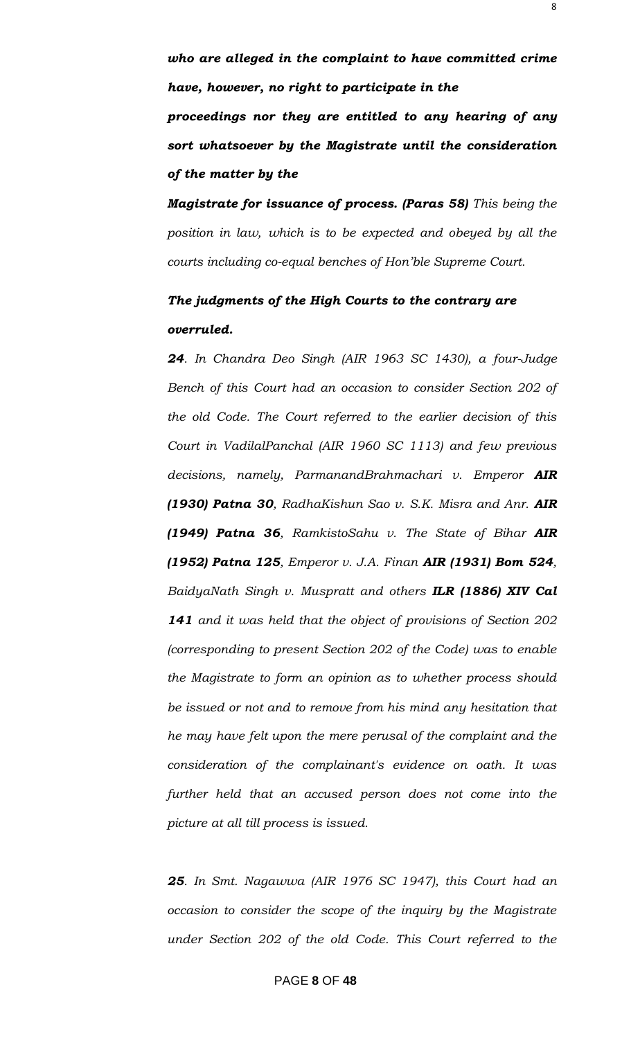*who are alleged in the complaint to have committed crime have, however, no right to participate in the proceedings nor they are entitled to any hearing of any sort whatsoever by the Magistrate until the consideration of the matter by the*

*Magistrate for issuance of process. (Paras 58) This being the position in law, which is to be expected and obeyed by all the courts including co-equal benches of Hon"ble Supreme Court.*

### *The judgments of the High Courts to the contrary are overruled.*

*24. In Chandra Deo Singh (AIR 1963 SC 1430), a four-Judge Bench of this Court had an occasion to consider Section 202 of the old Code. The Court referred to the earlier decision of this Court in VadilalPanchal (AIR 1960 SC 1113) and few previous decisions, namely, ParmanandBrahmachari v. Emperor AIR (1930) Patna 30, RadhaKishun Sao v. S.K. Misra and Anr. AIR (1949) Patna 36, RamkistoSahu v. The State of Bihar AIR (1952) Patna 125, Emperor v. J.A. Finan AIR (1931) Bom 524, BaidyaNath Singh v. Muspratt and others ILR (1886) XIV Cal 141 and it was held that the object of provisions of Section 202 (corresponding to present Section 202 of the Code) was to enable the Magistrate to form an opinion as to whether process should be issued or not and to remove from his mind any hesitation that he may have felt upon the mere perusal of the complaint and the consideration of the complainant's evidence on oath. It was further held that an accused person does not come into the picture at all till process is issued.*

*25. In Smt. Nagawwa (AIR 1976 SC 1947), this Court had an occasion to consider the scope of the inquiry by the Magistrate under Section 202 of the old Code. This Court referred to the*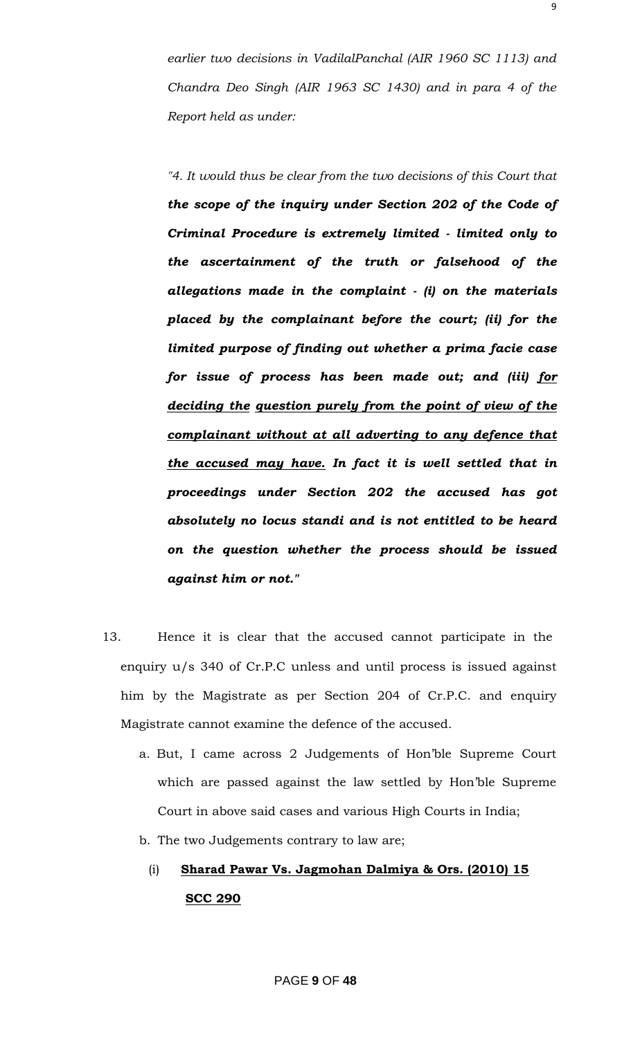*earlier two decisions in VadilalPanchal (AIR 1960 SC 1113) and Chandra Deo Singh (AIR 1963 SC 1430) and in para 4 of the Report held as under:*

*"4. It would thus be clear from the two decisions of this Court that the scope of the inquiry under Section 202 of the Code of Criminal Procedure is extremely limited - limited only to the ascertainment of the truth or falsehood of the allegations made in the complaint - (i) on the materials placed by the complainant before the court; (ii) for the limited purpose of finding out whether a prima facie case for issue of process has been made out; and (iii) for deciding the question purely from the point of view of the complainant without at all adverting to any defence that the accused may have. In fact it is well settled that in proceedings under Section 202 the accused has got absolutely no locus standi and is not entitled to be heard on the question whether the process should be issued against him or not."*

- 13. Hence it is clear that the accused cannot participate in the enquiry u/s 340 of Cr.P.C unless and until process is issued against him by the Magistrate as per Section 204 of Cr.P.C. and enquiry Magistrate cannot examine the defence of the accused.
	- a. But, I came across 2 Judgements of Hon"ble Supreme Court which are passed against the law settled by Hon"ble Supreme Court in above said cases and various High Courts in India;
	- b. The two Judgements contrary to law are;
		- (i) **Sharad Pawar Vs. Jagmohan Dalmiya & Ors. (2010) 15 SCC 290**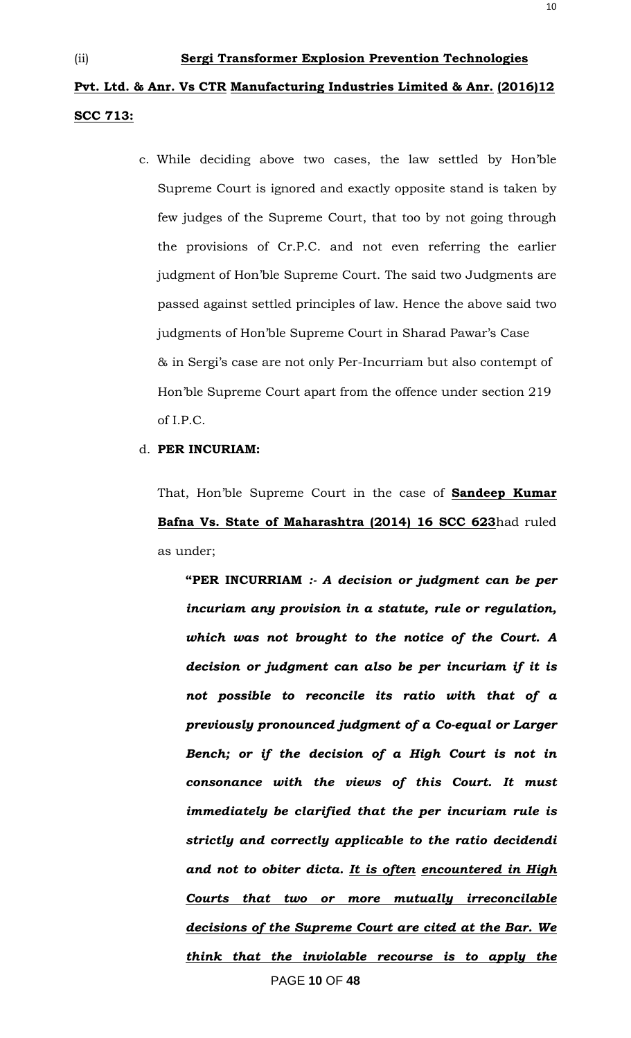c. While deciding above two cases, the law settled by Hon"ble Supreme Court is ignored and exactly opposite stand is taken by few judges of the Supreme Court, that too by not going through the provisions of Cr.P.C. and not even referring the earlier judgment of Hon"ble Supreme Court. The said two Judgments are passed against settled principles of law. Hence the above said two judgments of Hon'ble Supreme Court in Sharad Pawar's Case & in Sergi"s case are not only Per-Incurriam but also contempt of Hon"ble Supreme Court apart from the offence under section 219 of I.P.C.

#### d. **PER INCURIAM:**

That, Hon"ble Supreme Court in the case of **Sandeep Kumar Bafna Vs. State of Maharashtra (2014) 16 SCC 623**had ruled as under;

PAGE **10** OF **48 "PER INCURRIAM** *:- A decision or judgment can be per incuriam any provision in a statute, rule or regulation, which was not brought to the notice of the Court. A decision or judgment can also be per incuriam if it is not possible to reconcile its ratio with that of a previously pronounced judgment of a Co-equal or Larger Bench; or if the decision of a High Court is not in consonance with the views of this Court. It must immediately be clarified that the per incuriam rule is strictly and correctly applicable to the ratio decidendi and not to obiter dicta. It is often encountered in High Courts that two or more mutually irreconcilable decisions of the Supreme Court are cited at the Bar. We think that the inviolable recourse is to apply the*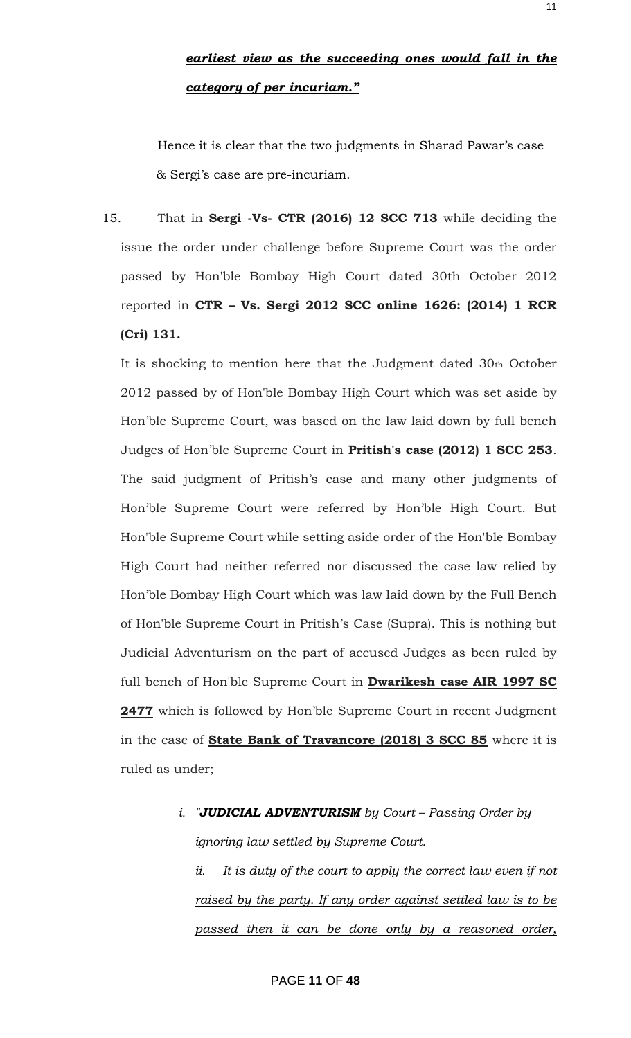### *earliest view as the succeeding ones would fall in the category of per incuriam."*

Hence it is clear that the two judgments in Sharad Pawar's case & Sergi"s case are pre-incuriam.

15. That in **Sergi -Vs- CTR (2016) 12 SCC 713** while deciding the issue the order under challenge before Supreme Court was the order passed by Hon'ble Bombay High Court dated 30th October 2012 reported in **CTR – Vs. Sergi 2012 SCC online 1626: (2014) 1 RCR (Cri) 131.**

It is shocking to mention here that the Judgment dated 30th October 2012 passed by of Hon'ble Bombay High Court which was set aside by Hon"ble Supreme Court, was based on the law laid down by full bench Judges of Hon"ble Supreme Court in **Pritish's case (2012) 1 SCC 253**. The said judgment of Pritish's case and many other judgments of Hon"ble Supreme Court were referred by Hon"ble High Court. But Hon'ble Supreme Court while setting aside order of the Hon'ble Bombay High Court had neither referred nor discussed the case law relied by Hon"ble Bombay High Court which was law laid down by the Full Bench of Hon'ble Supreme Court in Pritish"s Case (Supra). This is nothing but Judicial Adventurism on the part of accused Judges as been ruled by full bench of Hon'ble Supreme Court in **Dwarikesh case AIR 1997 SC** 2477 which is followed by Hon'ble Supreme Court in recent Judgment in the case of **State Bank of Travancore (2018) 3 SCC 85** where it is ruled as under;

#### *i. "JUDICIAL ADVENTURISM by Court – Passing Order by*

*ignoring law settled by Supreme Court.*

*ii. It is duty of the court to apply the correct law even if not raised by the party. If any order against settled law is to be passed then it can be done only by a reasoned order,*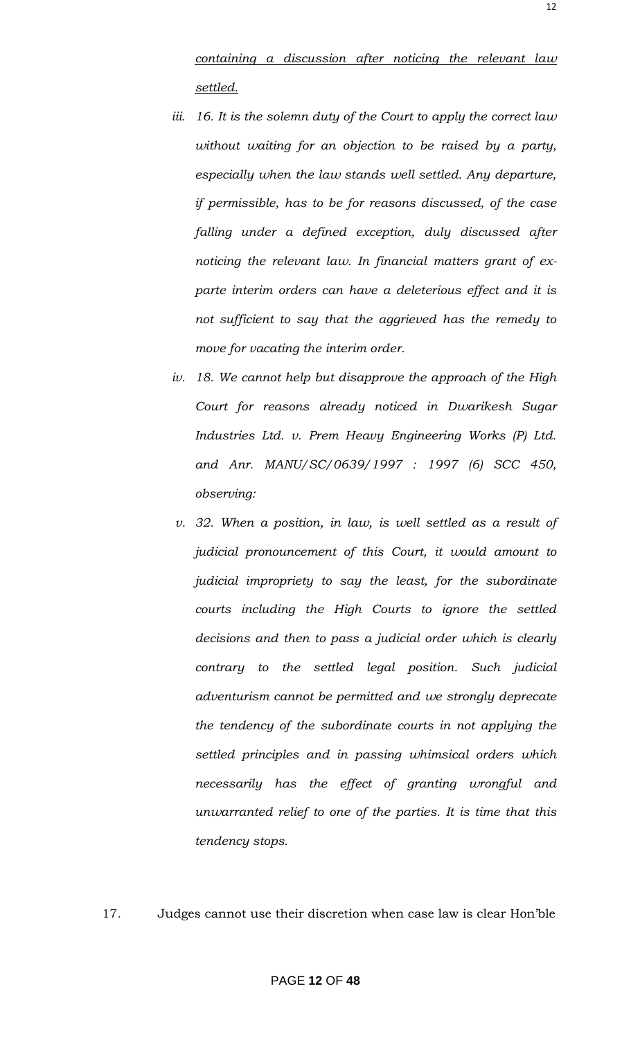*containing a discussion after noticing the relevant law settled.*

- *iii. 16. It is the solemn duty of the Court to apply the correct law without waiting for an objection to be raised by a party, especially when the law stands well settled. Any departure, if permissible, has to be for reasons discussed, of the case*  falling under a defined exception, duly discussed after *noticing the relevant law. In financial matters grant of exparte interim orders can have a deleterious effect and it is not sufficient to say that the aggrieved has the remedy to move for vacating the interim order.*
- *iv. 18. We cannot help but disapprove the approach of the High Court for reasons already noticed in Dwarikesh Sugar Industries Ltd. v. Prem Heavy Engineering Works (P) Ltd. and Anr. MANU/SC/0639/1997 : 1997 (6) SCC 450, observing:*
- *v. 32. When a position, in law, is well settled as a result of judicial pronouncement of this Court, it would amount to judicial impropriety to say the least, for the subordinate courts including the High Courts to ignore the settled decisions and then to pass a judicial order which is clearly contrary to the settled legal position. Such judicial adventurism cannot be permitted and we strongly deprecate the tendency of the subordinate courts in not applying the settled principles and in passing whimsical orders which necessarily has the effect of granting wrongful and unwarranted relief to one of the parties. It is time that this tendency stops.*
- 17. Judges cannot use their discretion when case law is clear Hon"ble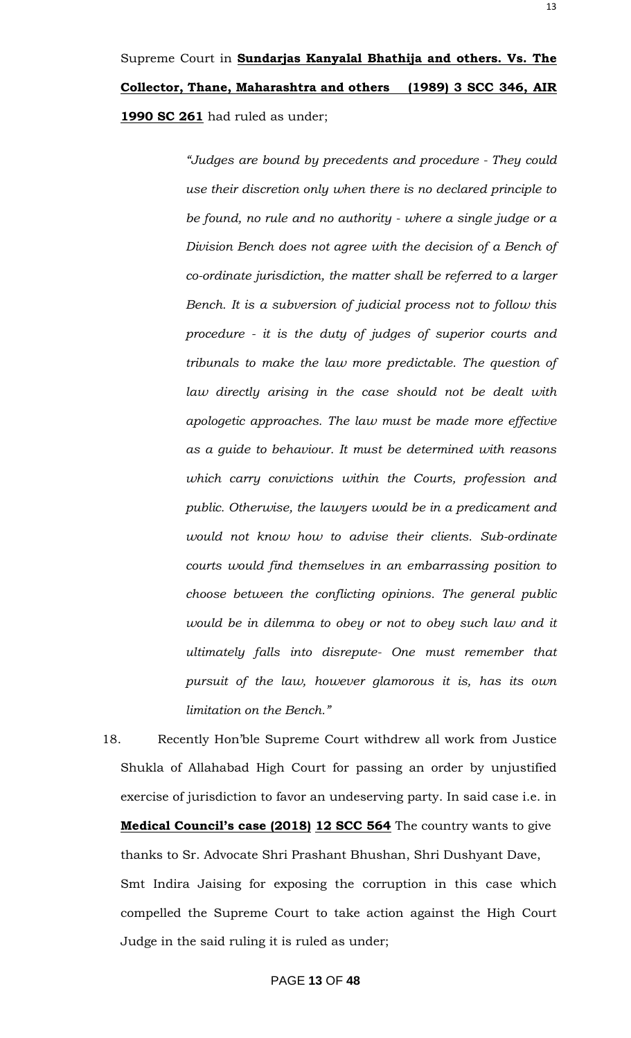*"Judges are bound by precedents and procedure - They could use their discretion only when there is no declared principle to be found, no rule and no authority - where a single judge or a Division Bench does not agree with the decision of a Bench of co-ordinate jurisdiction, the matter shall be referred to a larger Bench. It is a subversion of judicial process not to follow this procedure - it is the duty of judges of superior courts and tribunals to make the law more predictable. The question of law directly arising in the case should not be dealt with apologetic approaches. The law must be made more effective as a guide to behaviour. It must be determined with reasons which carry convictions within the Courts, profession and public. Otherwise, the lawyers would be in a predicament and would not know how to advise their clients. Sub-ordinate courts would find themselves in an embarrassing position to choose between the conflicting opinions. The general public would be in dilemma to obey or not to obey such law and it ultimately falls into disrepute- One must remember that pursuit of the law, however glamorous it is, has its own limitation on the Bench."*

18. Recently Hon"ble Supreme Court withdrew all work from Justice Shukla of Allahabad High Court for passing an order by unjustified exercise of jurisdiction to favor an undeserving party. In said case i.e. in **Medical Council's case (2018) 12 SCC 564** The country wants to give thanks to Sr. Advocate Shri Prashant Bhushan, Shri Dushyant Dave, Smt Indira Jaising for exposing the corruption in this case which compelled the Supreme Court to take action against the High Court Judge in the said ruling it is ruled as under;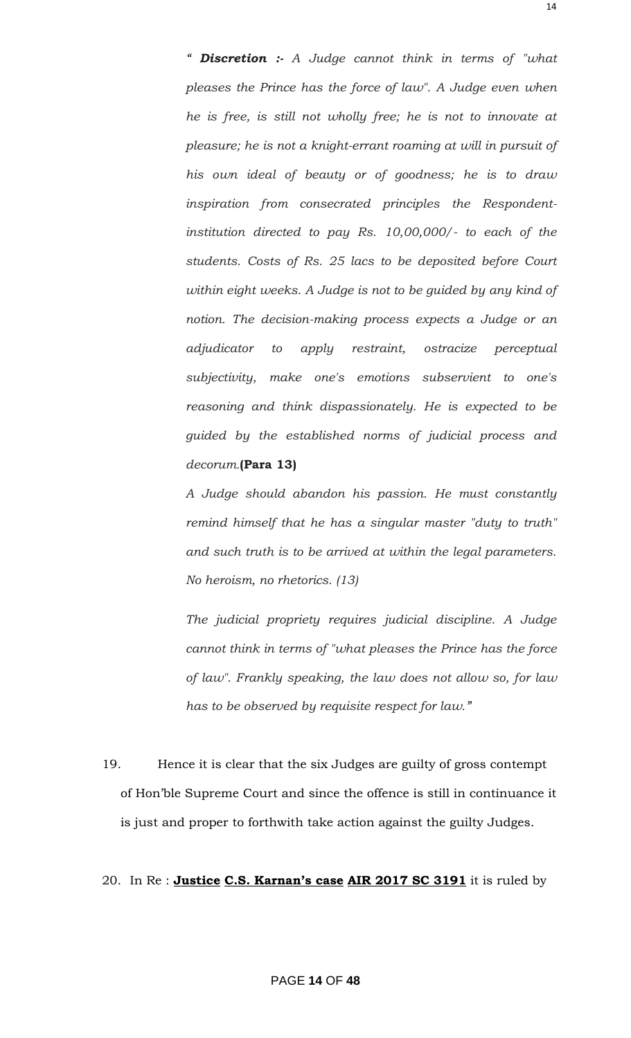*" Discretion :- A Judge cannot think in terms of "what pleases the Prince has the force of law". A Judge even when he is free, is still not wholly free; he is not to innovate at pleasure; he is not a knight-errant roaming at will in pursuit of his own ideal of beauty or of goodness; he is to draw inspiration from consecrated principles the Respondentinstitution directed to pay Rs. 10,00,000/- to each of the students. Costs of Rs. 25 lacs to be deposited before Court within eight weeks. A Judge is not to be guided by any kind of notion. The decision-making process expects a Judge or an adjudicator to apply restraint, ostracize perceptual subjectivity, make one's emotions subservient to one's reasoning and think dispassionately. He is expected to be guided by the established norms of judicial process and decorum.***(Para 13)**

*A Judge should abandon his passion. He must constantly remind himself that he has a singular master "duty to truth" and such truth is to be arrived at within the legal parameters. No heroism, no rhetorics. (13)*

*The judicial propriety requires judicial discipline. A Judge cannot think in terms of "what pleases the Prince has the force of law". Frankly speaking, the law does not allow so, for law has to be observed by requisite respect for law."*

19. Hence it is clear that the six Judges are guilty of gross contempt of Hon"ble Supreme Court and since the offence is still in continuance it is just and proper to forthwith take action against the guilty Judges.

#### 20. In Re : **Justice C.S. Karnan's case AIR 2017 SC 3191** it is ruled by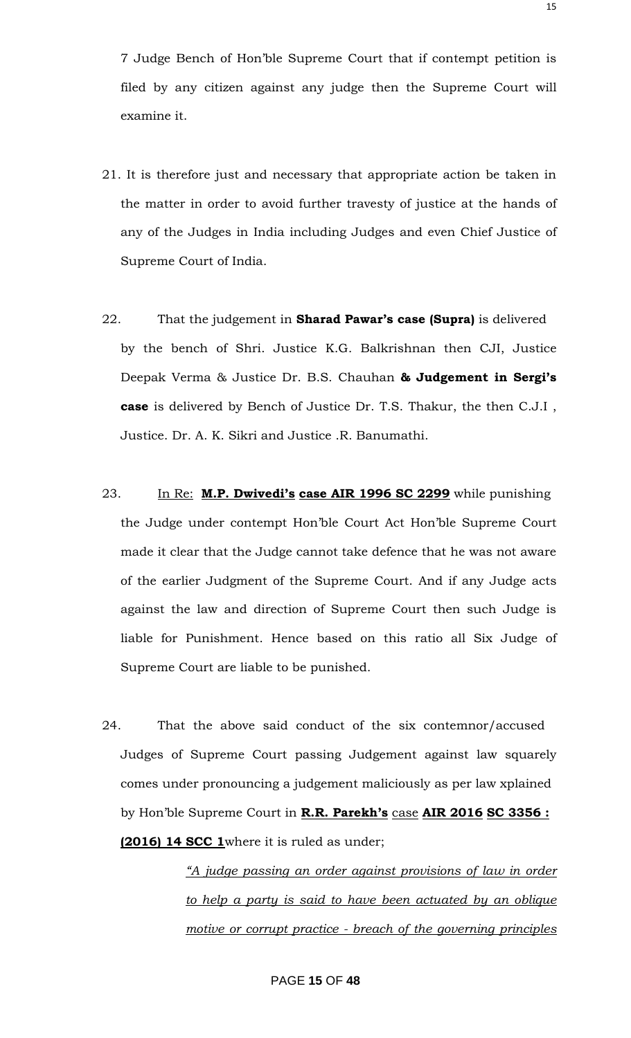7 Judge Bench of Hon"ble Supreme Court that if contempt petition is filed by any citizen against any judge then the Supreme Court will examine it.

- 21. It is therefore just and necessary that appropriate action be taken in the matter in order to avoid further travesty of justice at the hands of any of the Judges in India including Judges and even Chief Justice of Supreme Court of India.
- 22. That the judgement in **Sharad Pawar's case (Supra)** is delivered by the bench of Shri. Justice K.G. Balkrishnan then CJI, Justice Deepak Verma & Justice Dr. B.S. Chauhan **& Judgement in Sergi's case** is delivered by Bench of Justice Dr. T.S. Thakur, the then C.J.I , Justice. Dr. A. K. Sikri and Justice .R. Banumathi.
- 23. In Re: **M.P. Dwivedi's case AIR 1996 SC 2299** while punishing the Judge under contempt Hon"ble Court Act Hon"ble Supreme Court made it clear that the Judge cannot take defence that he was not aware of the earlier Judgment of the Supreme Court. And if any Judge acts against the law and direction of Supreme Court then such Judge is liable for Punishment. Hence based on this ratio all Six Judge of Supreme Court are liable to be punished.
- 24. That the above said conduct of the six contemnor/accused Judges of Supreme Court passing Judgement against law squarely comes under pronouncing a judgement maliciously as per law xplained by Hon"ble Supreme Court in **R.R. Parekh's** case **AIR 2016 SC 3356 : (2016) 14 SCC 1**where it is ruled as under;

*"A judge passing an order against provisions of law in order to help a party is said to have been actuated by an oblique motive or corrupt practice - breach of the governing principles*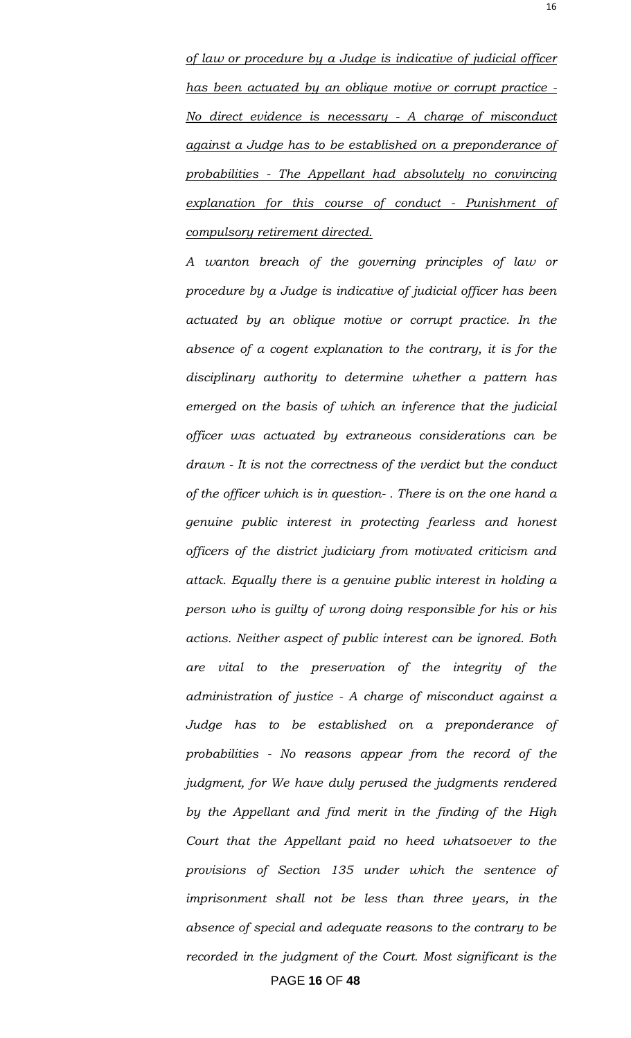*of law or procedure by a Judge is indicative of judicial officer has been actuated by an oblique motive or corrupt practice - No direct evidence is necessary - A charge of misconduct against a Judge has to be established on a preponderance of probabilities - The Appellant had absolutely no convincing explanation for this course of conduct - Punishment of compulsory retirement directed.*

PAGE **16** OF **48** *A wanton breach of the governing principles of law or procedure by a Judge is indicative of judicial officer has been actuated by an oblique motive or corrupt practice. In the absence of a cogent explanation to the contrary, it is for the disciplinary authority to determine whether a pattern has emerged on the basis of which an inference that the judicial officer was actuated by extraneous considerations can be drawn - It is not the correctness of the verdict but the conduct of the officer which is in question- . There is on the one hand a genuine public interest in protecting fearless and honest officers of the district judiciary from motivated criticism and attack. Equally there is a genuine public interest in holding a person who is guilty of wrong doing responsible for his or his actions. Neither aspect of public interest can be ignored. Both are vital to the preservation of the integrity of the administration of justice - A charge of misconduct against a Judge has to be established on a preponderance of probabilities - No reasons appear from the record of the judgment, for We have duly perused the judgments rendered by the Appellant and find merit in the finding of the High Court that the Appellant paid no heed whatsoever to the provisions of Section 135 under which the sentence of imprisonment shall not be less than three years, in the absence of special and adequate reasons to the contrary to be recorded in the judgment of the Court. Most significant is the*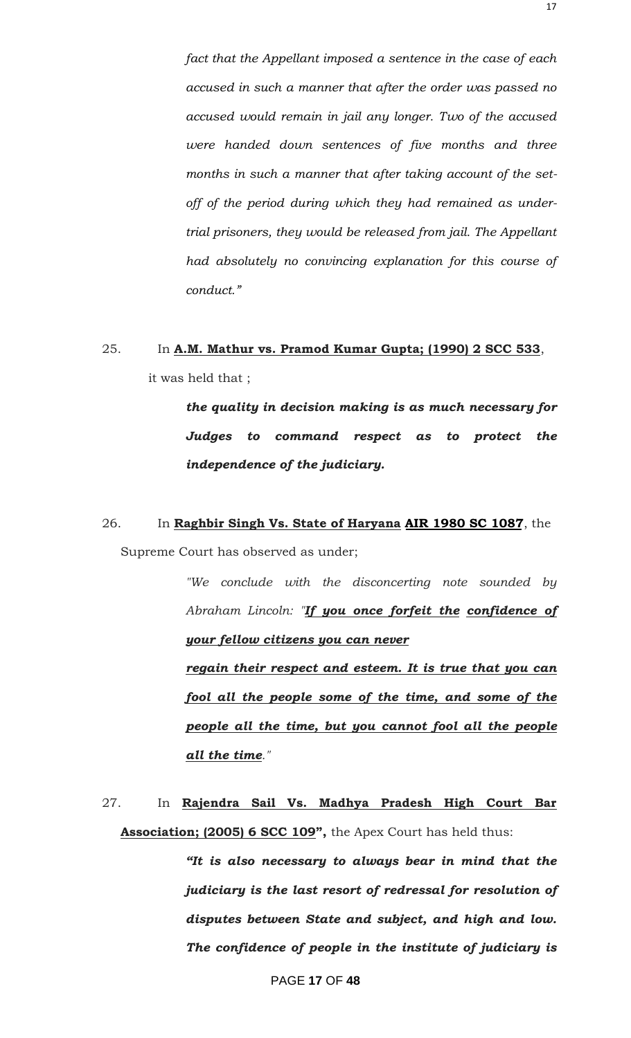*fact that the Appellant imposed a sentence in the case of each accused in such a manner that after the order was passed no accused would remain in jail any longer. Two of the accused were handed down sentences of five months and three months in such a manner that after taking account of the setoff of the period during which they had remained as undertrial prisoners, they would be released from jail. The Appellant had absolutely no convincing explanation for this course of conduct."*

## 25. In **A.M. Mathur vs. Pramod Kumar Gupta; (1990) 2 SCC 533**, it was held that ;

*the quality in decision making is as much necessary for Judges to command respect as to protect the independence of the judiciary.*

## 26. In **Raghbir Singh Vs. State of Haryana AIR 1980 SC 1087**, the Supreme Court has observed as under;

*"We conclude with the disconcerting note sounded by Abraham Lincoln: "If you once forfeit the confidence of your fellow citizens you can never*

*regain their respect and esteem. It is true that you can fool all the people some of the time, and some of the people all the time, but you cannot fool all the people all the time."*

27. In **Rajendra Sail Vs. Madhya Pradesh High Court Bar Association; (2005) 6 SCC 109",** the Apex Court has held thus:

> *"It is also necessary to always bear in mind that the judiciary is the last resort of redressal for resolution of disputes between State and subject, and high and low. The confidence of people in the institute of judiciary is*

> > PAGE **17** OF **48**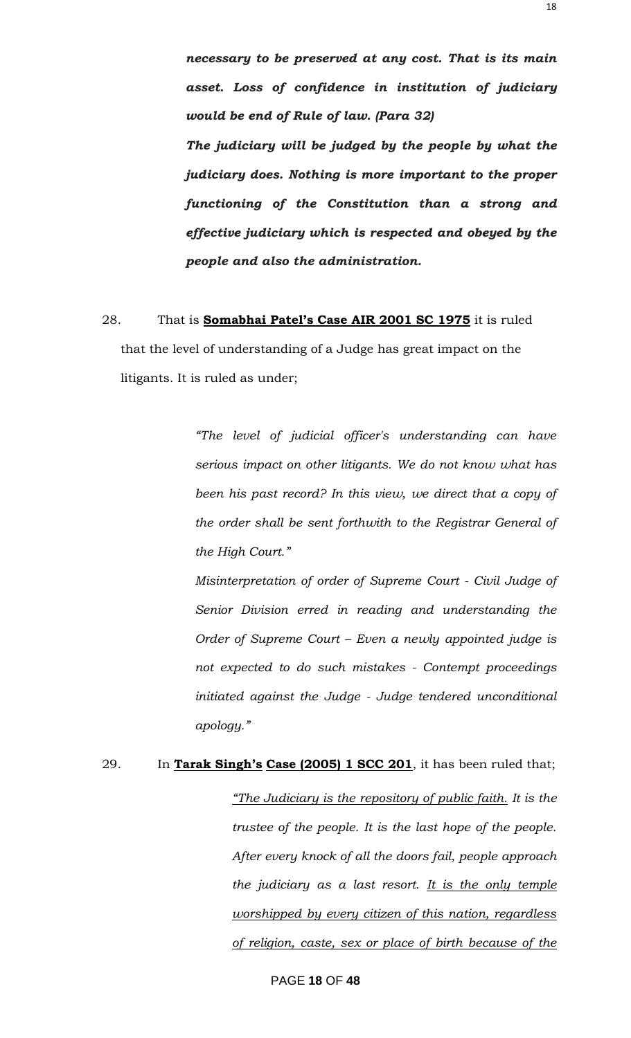*necessary to be preserved at any cost. That is its main asset. Loss of confidence in institution of judiciary would be end of Rule of law. (Para 32)*

*The judiciary will be judged by the people by what the judiciary does. Nothing is more important to the proper functioning of the Constitution than a strong and effective judiciary which is respected and obeyed by the people and also the administration.*

### 28. That is **Somabhai Patel's Case AIR 2001 SC 1975** it is ruled that the level of understanding of a Judge has great impact on the

litigants. It is ruled as under;

*"The level of judicial officer's understanding can have serious impact on other litigants. We do not know what has been his past record? In this view, we direct that a copy of the order shall be sent forthwith to the Registrar General of the High Court."*

*Misinterpretation of order of Supreme Court - Civil Judge of Senior Division erred in reading and understanding the Order of Supreme Court – Even a newly appointed judge is not expected to do such mistakes - Contempt proceedings initiated against the Judge - Judge tendered unconditional apology."*

# 29. In **Tarak Singh's Case (2005) 1 SCC 201**, it has been ruled that; *"The Judiciary is the repository of public faith. It is the trustee of the people. It is the last hope of the people. After every knock of all the doors fail, people approach the judiciary as a last resort. It is the only temple worshipped by every citizen of this nation, regardless of religion, caste, sex or place of birth because of the*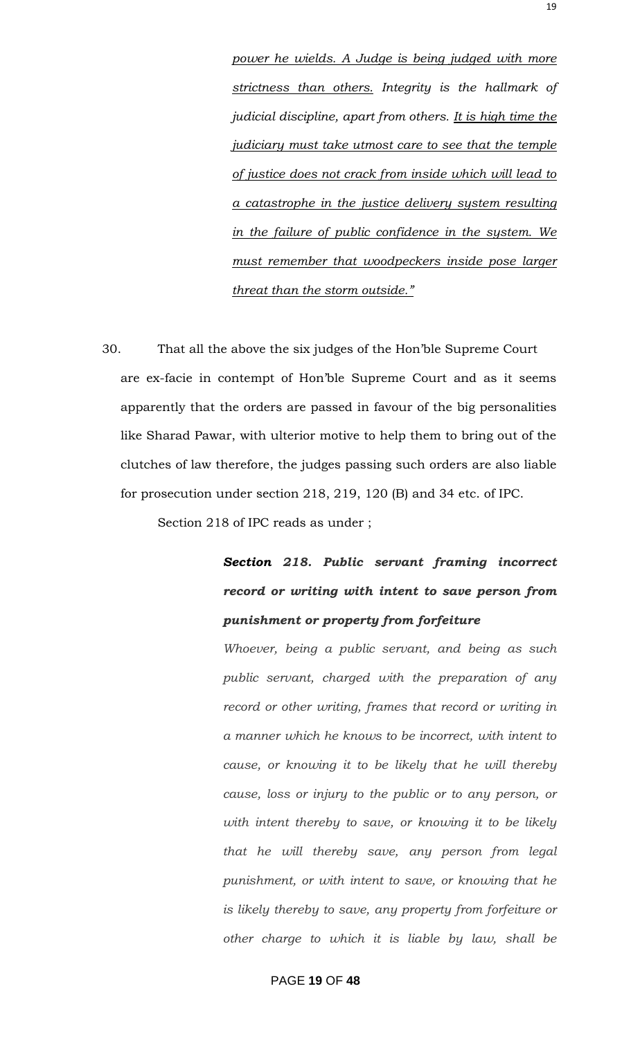*power he wields. A Judge is being judged with more strictness than others. Integrity is the hallmark of judicial discipline, apart from others. It is high time the judiciary must take utmost care to see that the temple of justice does not crack from inside which will lead to a catastrophe in the justice delivery system resulting in the failure of public confidence in the system. We must remember that woodpeckers inside pose larger threat than the storm outside."*

30. That all the above the six judges of the Hon"ble Supreme Court are ex-facie in contempt of Hon"ble Supreme Court and as it seems apparently that the orders are passed in favour of the big personalities like Sharad Pawar, with ulterior motive to help them to bring out of the clutches of law therefore, the judges passing such orders are also liable for prosecution under section 218, 219, 120 (B) and 34 etc. of IPC.

Section 218 of IPC reads as under ;

# *Section 218. Public servant framing incorrect record or writing with intent to save person from punishment or property from forfeiture*

*Whoever, being a public servant, and being as such public servant, charged with the preparation of any record or other writing, frames that record or writing in a manner which he knows to be incorrect, with intent to cause, or knowing it to be likely that he will thereby cause, loss or injury to the public or to any person, or with intent thereby to save, or knowing it to be likely that he will thereby save, any person from legal punishment, or with intent to save, or knowing that he is likely thereby to save, any property from forfeiture or other charge to which it is liable by law, shall be* 

#### PAGE **19** OF **48**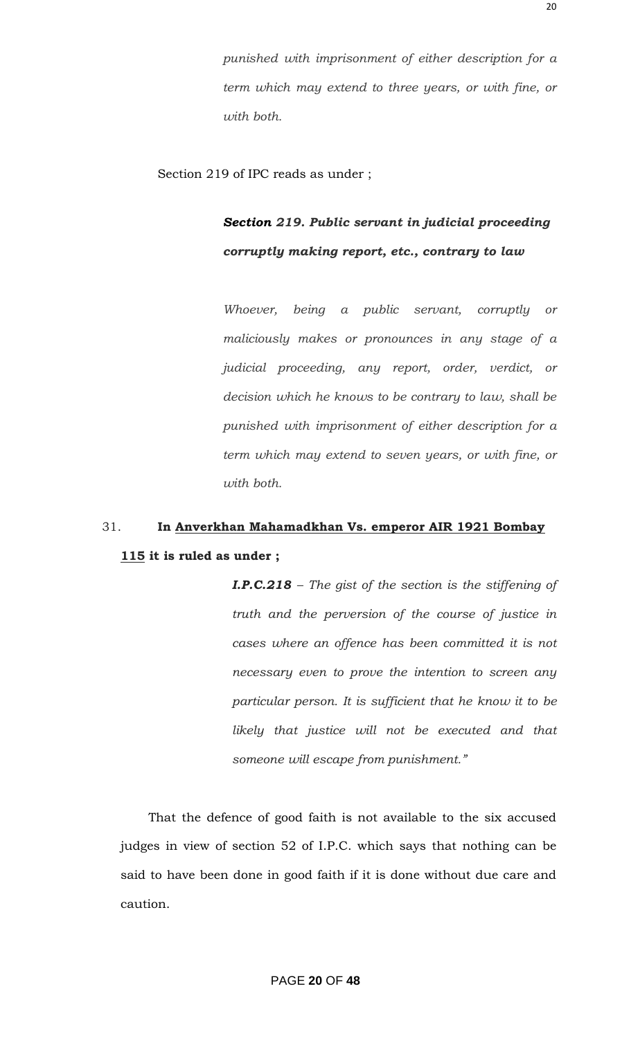*punished with imprisonment of either description for a term which may extend to three years, or with fine, or with both.*

Section 219 of IPC reads as under ;

### *Section 219. Public servant in judicial proceeding corruptly making report, etc., contrary to law*

*Whoever, being a public servant, corruptly or maliciously makes or pronounces in any stage of a judicial proceeding, any report, order, verdict, or decision which he knows to be contrary to law, shall be punished with imprisonment of either description for a term which may extend to seven years, or with fine, or with both.*

### 31. **In Anverkhan Mahamadkhan Vs. emperor AIR 1921 Bombay 115 it is ruled as under ;**

*I.P.C.218 – The gist of the section is the stiffening of truth and the perversion of the course of justice in cases where an offence has been committed it is not necessary even to prove the intention to screen any particular person. It is sufficient that he know it to be likely that justice will not be executed and that someone will escape from punishment."*

That the defence of good faith is not available to the six accused judges in view of section 52 of I.P.C. which says that nothing can be said to have been done in good faith if it is done without due care and caution.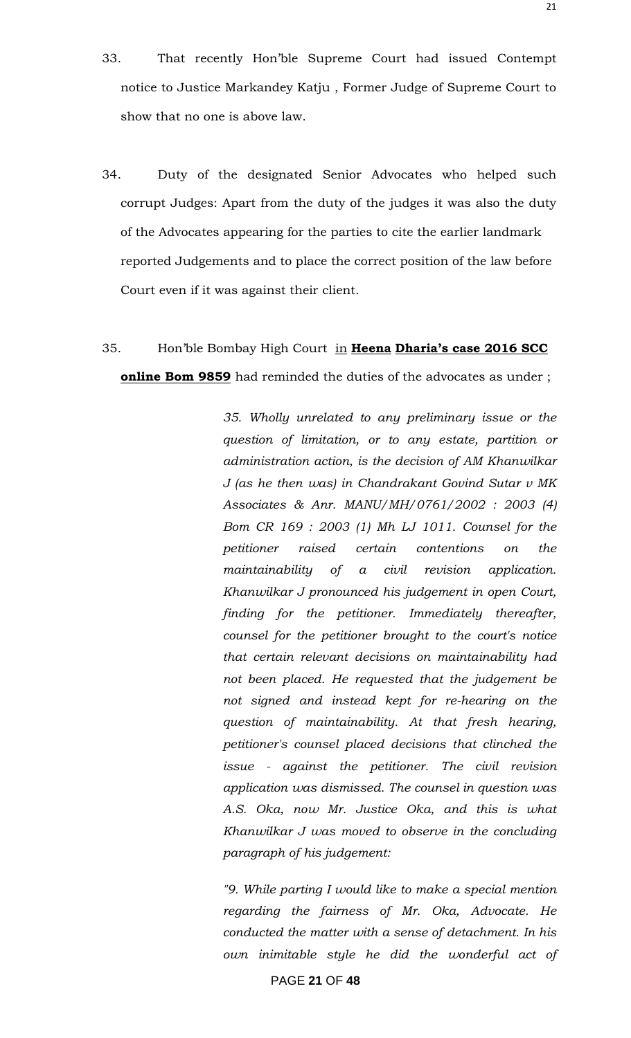- 33. That recently Hon"ble Supreme Court had issued Contempt notice to Justice Markandey Katju , Former Judge of Supreme Court to show that no one is above law.
- 34. Duty of the designated Senior Advocates who helped such corrupt Judges: Apart from the duty of the judges it was also the duty of the Advocates appearing for the parties to cite the earlier landmark reported Judgements and to place the correct position of the law before Court even if it was against their client.

## 35. Hon"ble Bombay High Court in **Heena Dharia's case 2016 SCC online Bom 9859** had reminded the duties of the advocates as under ;

*35. Wholly unrelated to any preliminary issue or the question of limitation, or to any estate, partition or administration action, is the decision of AM Khanwilkar J (as he then was) in Chandrakant Govind Sutar v MK Associates & Anr. MANU/MH/0761/2002 : 2003 (4) Bom CR 169 : 2003 (1) Mh LJ 1011. Counsel for the petitioner raised certain contentions on the maintainability of a civil revision application. Khanwilkar J pronounced his judgement in open Court, finding for the petitioner. Immediately thereafter, counsel for the petitioner brought to the court's notice that certain relevant decisions on maintainability had not been placed. He requested that the judgement be not signed and instead kept for re-hearing on the question of maintainability. At that fresh hearing, petitioner's counsel placed decisions that clinched the issue - against the petitioner. The civil revision application was dismissed. The counsel in question was A.S. Oka, now Mr. Justice Oka, and this is what Khanwilkar J was moved to observe in the concluding paragraph of his judgement:*

*"9. While parting I would like to make a special mention regarding the fairness of Mr. Oka, Advocate. He conducted the matter with a sense of detachment. In his own inimitable style he did the wonderful act of*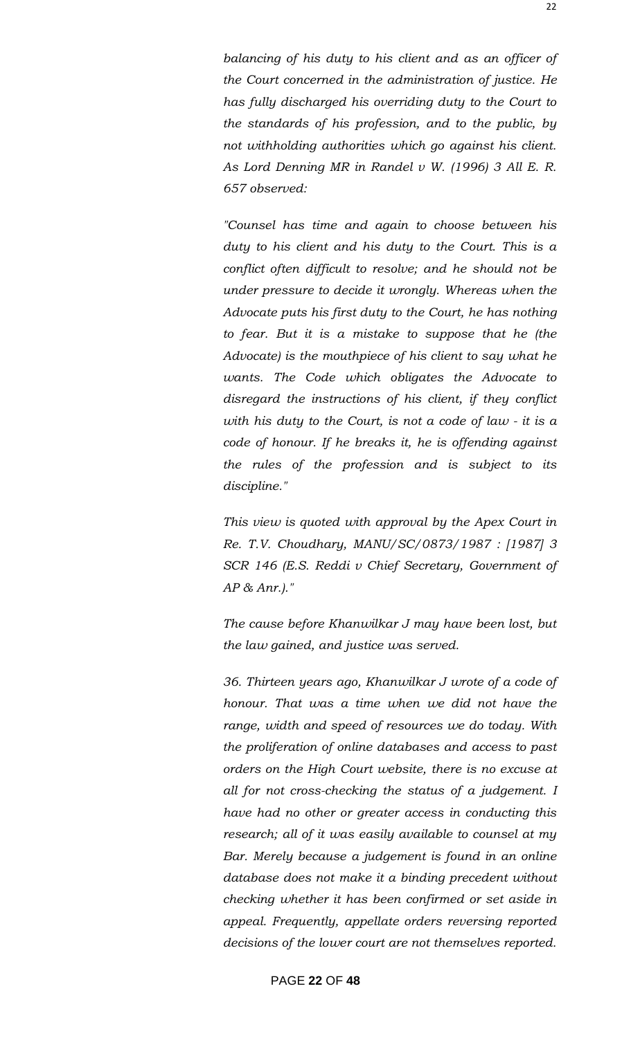*balancing of his duty to his client and as an officer of the Court concerned in the administration of justice. He has fully discharged his overriding duty to the Court to the standards of his profession, and to the public, by not withholding authorities which go against his client. As Lord Denning MR in Randel v W. (1996) 3 All E. R. 657 observed:*

*"Counsel has time and again to choose between his duty to his client and his duty to the Court. This is a conflict often difficult to resolve; and he should not be under pressure to decide it wrongly. Whereas when the Advocate puts his first duty to the Court, he has nothing to fear. But it is a mistake to suppose that he (the Advocate) is the mouthpiece of his client to say what he wants. The Code which obligates the Advocate to disregard the instructions of his client, if they conflict with his duty to the Court, is not a code of law - it is a code of honour. If he breaks it, he is offending against the rules of the profession and is subject to its discipline."*

*This view is quoted with approval by the Apex Court in Re. T.V. Choudhary, MANU/SC/0873/1987 : [1987] 3 SCR 146 (E.S. Reddi v Chief Secretary, Government of AP & Anr.)."*

*The cause before Khanwilkar J may have been lost, but the law gained, and justice was served.*

*36. Thirteen years ago, Khanwilkar J wrote of a code of honour. That was a time when we did not have the range, width and speed of resources we do today. With the proliferation of online databases and access to past orders on the High Court website, there is no excuse at all for not cross-checking the status of a judgement. I have had no other or greater access in conducting this research; all of it was easily available to counsel at my Bar. Merely because a judgement is found in an online database does not make it a binding precedent without checking whether it has been confirmed or set aside in appeal. Frequently, appellate orders reversing reported decisions of the lower court are not themselves reported.*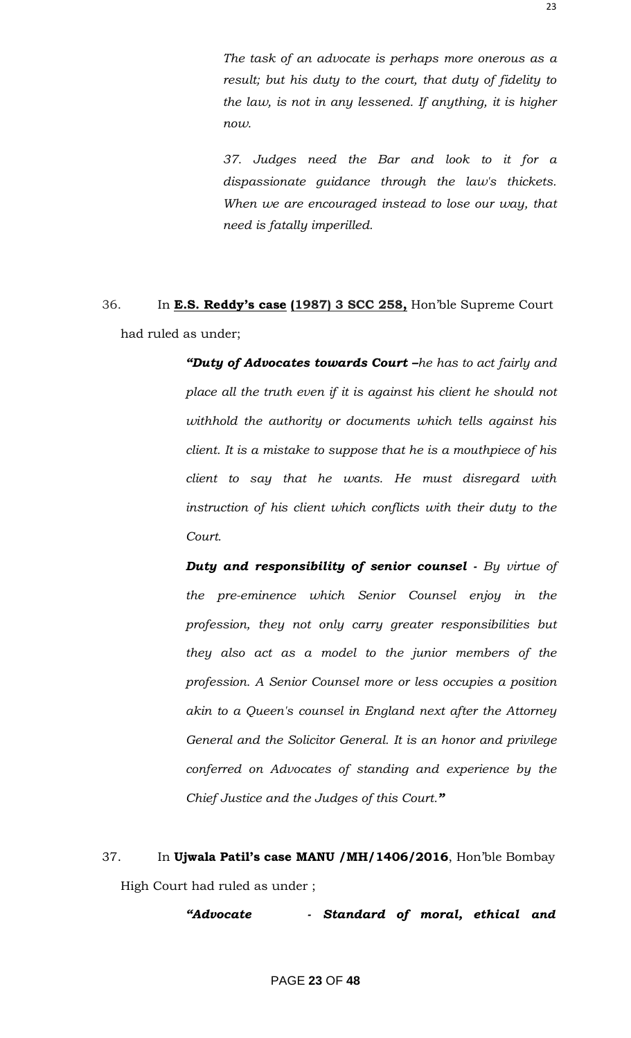*The task of an advocate is perhaps more onerous as a result; but his duty to the court, that duty of fidelity to the law, is not in any lessened. If anything, it is higher now.*

*37. Judges need the Bar and look to it for a dispassionate guidance through the law's thickets. When we are encouraged instead to lose our way, that need is fatally imperilled.*

36. In **E.S. Reddy's case (1987) 3 SCC 258,** Hon"ble Supreme Court had ruled as under;

> *"Duty of Advocates towards Court –he has to act fairly and place all the truth even if it is against his client he should not withhold the authority or documents which tells against his client. It is a mistake to suppose that he is a mouthpiece of his client to say that he wants. He must disregard with instruction of his client which conflicts with their duty to the Court.*

> *Duty and responsibility of senior counsel - By virtue of the pre-eminence which Senior Counsel enjoy in the profession, they not only carry greater responsibilities but they also act as a model to the junior members of the profession. A Senior Counsel more or less occupies a position akin to a Queen's counsel in England next after the Attorney General and the Solicitor General. It is an honor and privilege conferred on Advocates of standing and experience by the Chief Justice and the Judges of this Court."*

37. In **Ujwala Patil's case MANU /MH/1406/2016**, Hon"ble Bombay High Court had ruled as under ;

*"Advocate - Standard of moral, ethical and*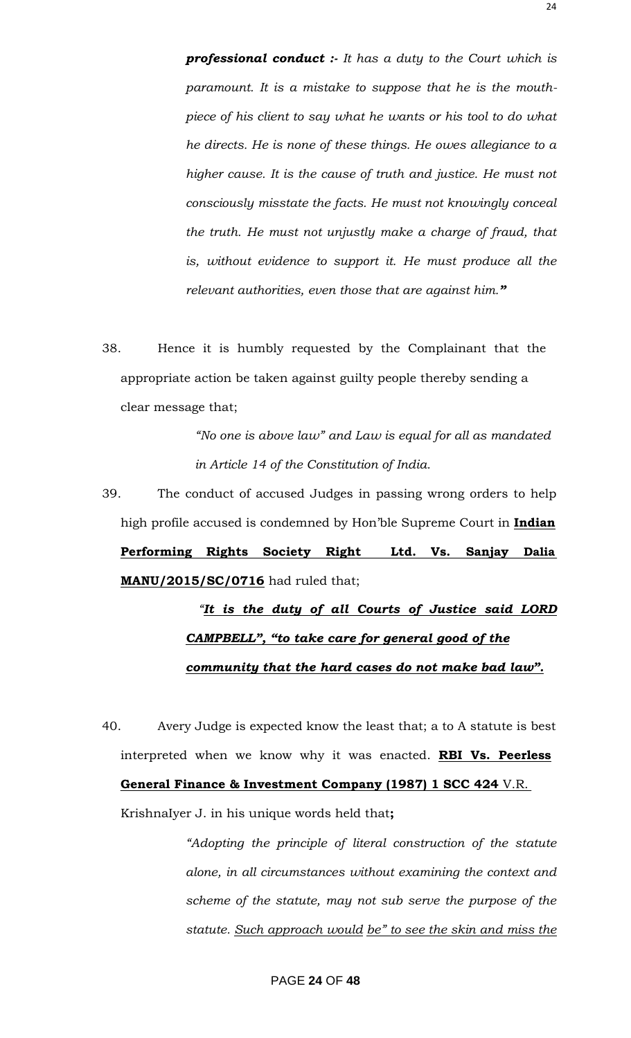*professional conduct :- It has a duty to the Court which is paramount. It is a mistake to suppose that he is the mouthpiece of his client to say what he wants or his tool to do what he directs. He is none of these things. He owes allegiance to a higher cause. It is the cause of truth and justice. He must not consciously misstate the facts. He must not knowingly conceal the truth. He must not unjustly make a charge of fraud, that is, without evidence to support it. He must produce all the relevant authorities, even those that are against him."*

38. Hence it is humbly requested by the Complainant that the appropriate action be taken against guilty people thereby sending a clear message that;

> *"No one is above law" and Law is equal for all as mandated in Article 14 of the Constitution of India.*

39. The conduct of accused Judges in passing wrong orders to help high profile accused is condemned by Hon"ble Supreme Court in **Indian Performing Rights Society Right Ltd. Vs. Sanjay Dalia MANU/2015/SC/0716** had ruled that;

# *"It is the duty of all Courts of Justice said LORD CAMPBELL", "to take care for general good of the community that the hard cases do not make bad law".*

40. Avery Judge is expected know the least that; a to A statute is best interpreted when we know why it was enacted. **RBI Vs. Peerless**

#### **General Finance & Investment Company (1987) 1 SCC 424** V.R.

KrishnaIyer J. in his unique words held that**;**

*"Adopting the principle of literal construction of the statute alone, in all circumstances without examining the context and scheme of the statute, may not sub serve the purpose of the statute. Such approach would be" to see the skin and miss the* 

### PAGE **24** OF **48**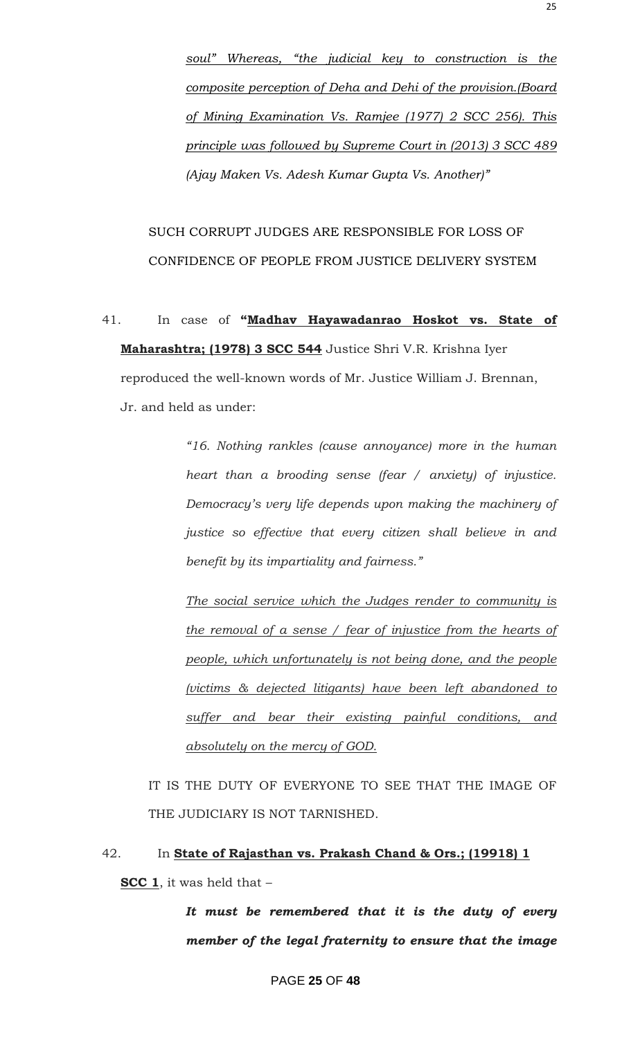*soul" Whereas, "the judicial key to construction is the composite perception of Deha and Dehi of the provision.(Board of Mining Examination Vs. Ramjee (1977) 2 SCC 256). This principle was followed by Supreme Court in (2013) 3 SCC 489 (Ajay Maken Vs. Adesh Kumar Gupta Vs. Another)"*

SUCH CORRUPT JUDGES ARE RESPONSIBLE FOR LOSS OF CONFIDENCE OF PEOPLE FROM JUSTICE DELIVERY SYSTEM

41. In case of **"Madhav Hayawadanrao Hoskot vs. State of Maharashtra; (1978) 3 SCC 544** Justice Shri V.R. Krishna Iyer reproduced the well-known words of Mr. Justice William J. Brennan, Jr. and held as under:

> *"16. Nothing rankles (cause annoyance) more in the human heart than a brooding sense (fear / anxiety) of injustice. Democracy"s very life depends upon making the machinery of justice so effective that every citizen shall believe in and benefit by its impartiality and fairness."*

> *The social service which the Judges render to community is the removal of a sense / fear of injustice from the hearts of people, which unfortunately is not being done, and the people (victims & dejected litigants) have been left abandoned to suffer and bear their existing painful conditions, and absolutely on the mercy of GOD.*

IT IS THE DUTY OF EVERYONE TO SEE THAT THE IMAGE OF THE JUDICIARY IS NOT TARNISHED.

# 42. In **State of Rajasthan vs. Prakash Chand & Ors.; (19918) 1 SCC 1**, it was held that –

*It must be remembered that it is the duty of every member of the legal fraternity to ensure that the image*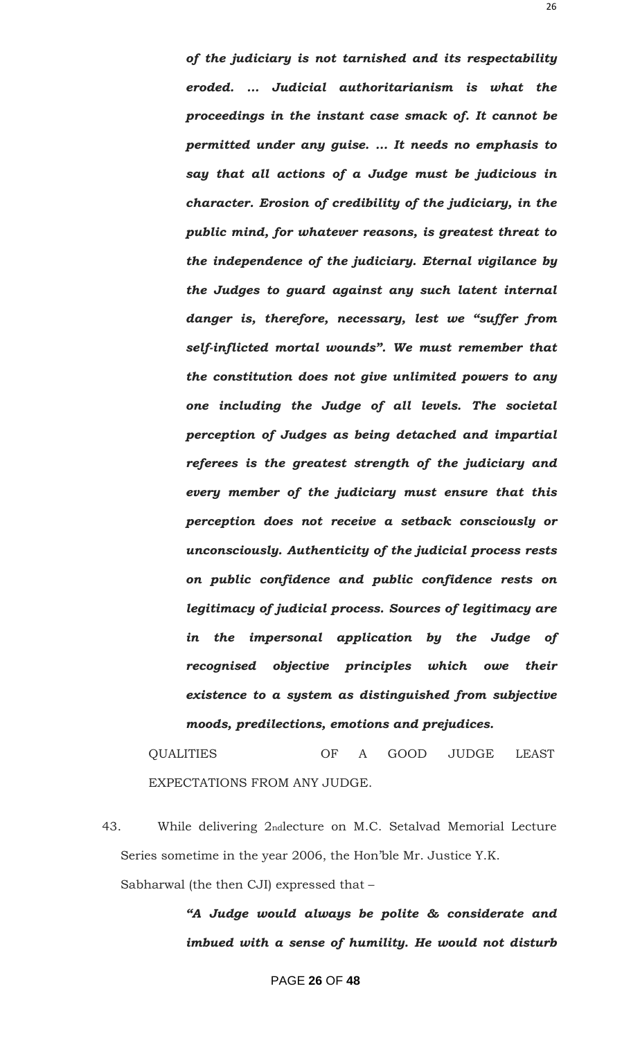*of the judiciary is not tarnished and its respectability eroded. … Judicial authoritarianism is what the proceedings in the instant case smack of. It cannot be permitted under any guise. … It needs no emphasis to say that all actions of a Judge must be judicious in character. Erosion of credibility of the judiciary, in the public mind, for whatever reasons, is greatest threat to the independence of the judiciary. Eternal vigilance by the Judges to guard against any such latent internal danger is, therefore, necessary, lest we "suffer from self-inflicted mortal wounds". We must remember that the constitution does not give unlimited powers to any one including the Judge of all levels. The societal perception of Judges as being detached and impartial referees is the greatest strength of the judiciary and every member of the judiciary must ensure that this perception does not receive a setback consciously or unconsciously. Authenticity of the judicial process rests on public confidence and public confidence rests on legitimacy of judicial process. Sources of legitimacy are in the impersonal application by the Judge of recognised objective principles which owe their existence to a system as distinguished from subjective moods, predilections, emotions and prejudices.*

QUALITIES OF A GOOD JUDGE LEAST EXPECTATIONS FROM ANY JUDGE.

43. While delivering 2ndlecture on M.C. Setalvad Memorial Lecture Series sometime in the year 2006, the Hon"ble Mr. Justice Y.K.

Sabharwal (the then CJI) expressed that –

*"A Judge would always be polite & considerate and imbued with a sense of humility. He would not disturb*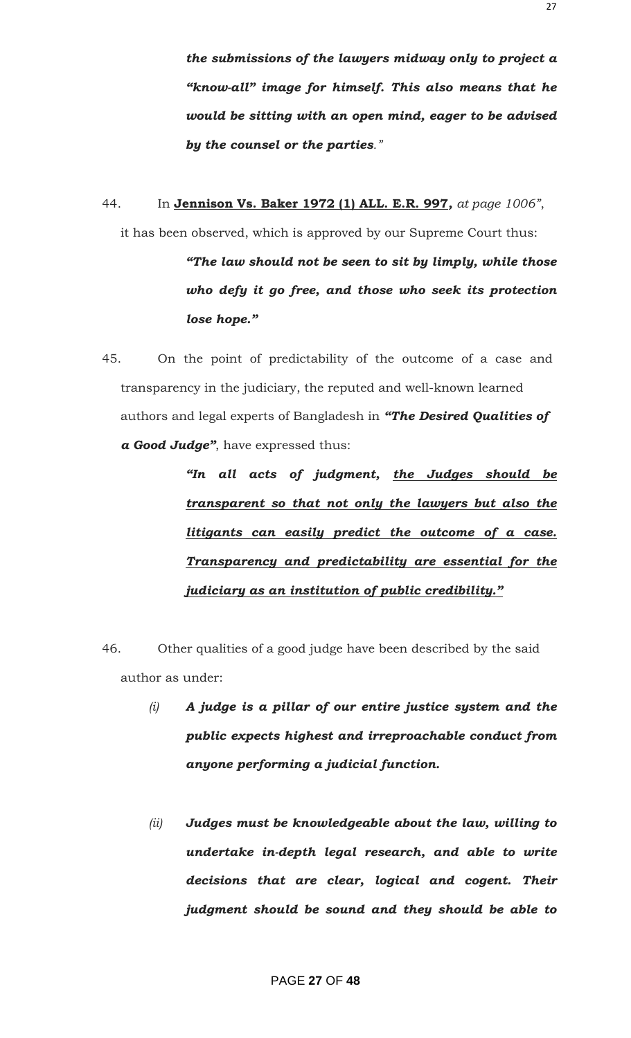*the submissions of the lawyers midway only to project a "know-all" image for himself. This also means that he would be sitting with an open mind, eager to be advised by the counsel or the parties."*

44. In **Jennison Vs. Baker 1972 (1) ALL. E.R. 997***, at page 1006"*,

it has been observed, which is approved by our Supreme Court thus:

*"The law should not be seen to sit by limply, while those who defy it go free, and those who seek its protection lose hope."*

45. On the point of predictability of the outcome of a case and transparency in the judiciary, the reputed and well-known learned authors and legal experts of Bangladesh in *"The Desired Qualities of a Good Judge"*, have expressed thus:

> *"In all acts of judgment, the Judges should be transparent so that not only the lawyers but also the litigants can easily predict the outcome of a case. Transparency and predictability are essential for the judiciary as an institution of public credibility."*

- 46. Other qualities of a good judge have been described by the said author as under:
	- *(i) A judge is a pillar of our entire justice system and the public expects highest and irreproachable conduct from anyone performing a judicial function.*
	- *(ii) Judges must be knowledgeable about the law, willing to undertake in-depth legal research, and able to write decisions that are clear, logical and cogent. Their judgment should be sound and they should be able to*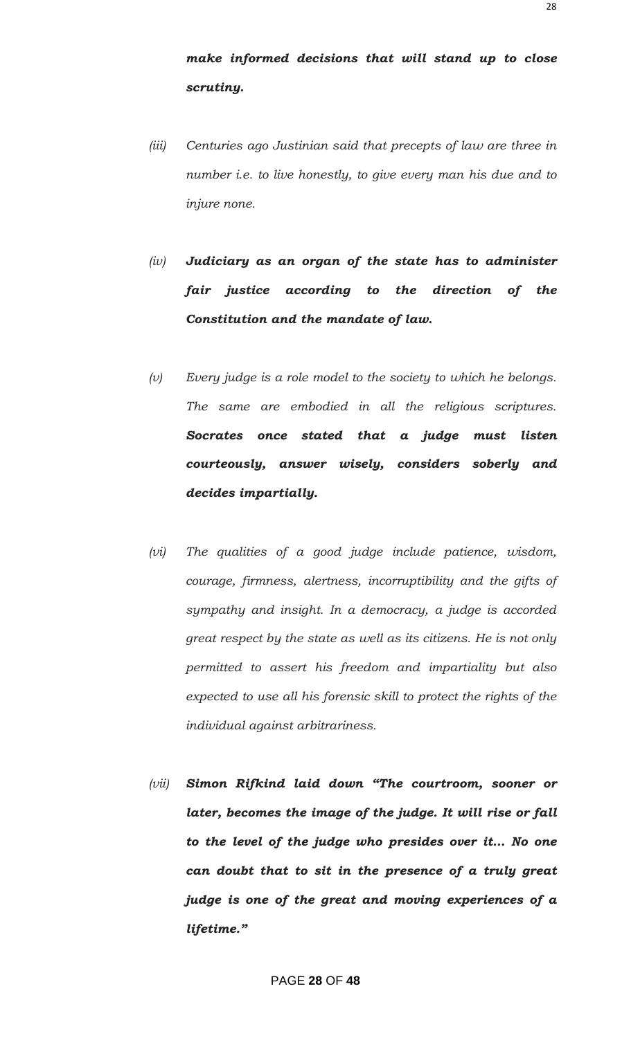*make informed decisions that will stand up to close scrutiny.*

- *(iii) Centuries ago Justinian said that precepts of law are three in number i.e. to live honestly, to give every man his due and to injure none.*
- *(iv) Judiciary as an organ of the state has to administer fair justice according to the direction of the Constitution and the mandate of law.*
- *(v) Every judge is a role model to the society to which he belongs. The same are embodied in all the religious scriptures. Socrates once stated that a judge must listen courteously, answer wisely, considers soberly and decides impartially.*
- *(vi) The qualities of a good judge include patience, wisdom, courage, firmness, alertness, incorruptibility and the gifts of sympathy and insight. In a democracy, a judge is accorded great respect by the state as well as its citizens. He is not only permitted to assert his freedom and impartiality but also expected to use all his forensic skill to protect the rights of the individual against arbitrariness.*
- *(vii) Simon Rifkind laid down "The courtroom, sooner or later, becomes the image of the judge. It will rise or fall to the level of the judge who presides over it… No one can doubt that to sit in the presence of a truly great judge is one of the great and moving experiences of a lifetime."*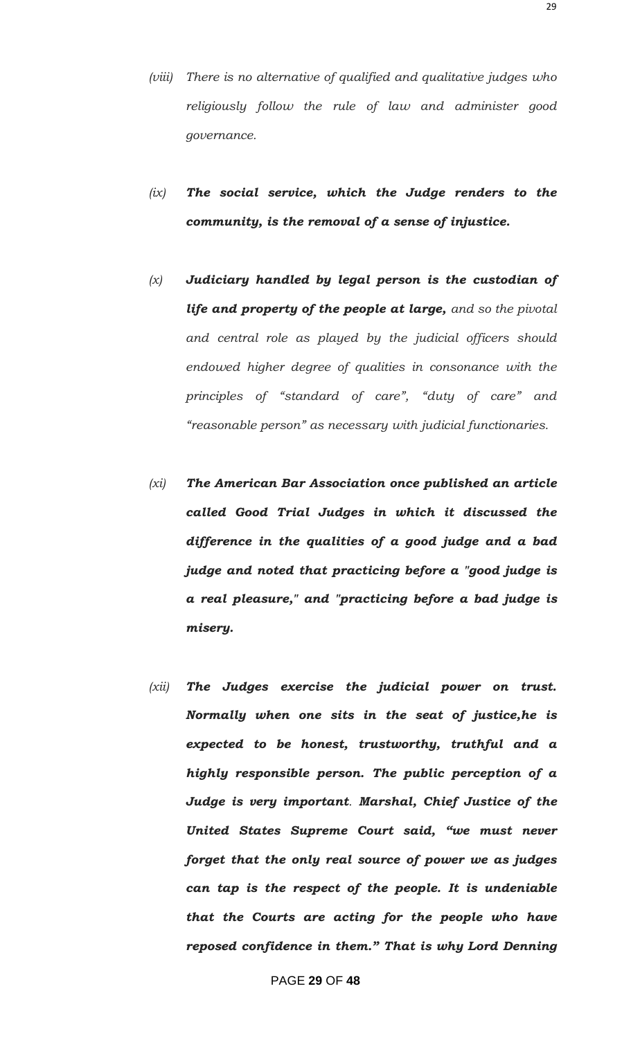- *(viii) There is no alternative of qualified and qualitative judges who religiously follow the rule of law and administer good governance.*
- *(ix) The social service, which the Judge renders to the community, is the removal of a sense of injustice.*
- *(x) Judiciary handled by legal person is the custodian of life and property of the people at large, and so the pivotal and central role as played by the judicial officers should endowed higher degree of qualities in consonance with the principles of "standard of care", "duty of care" and "reasonable person" as necessary with judicial functionaries.*
- *(xi) The American Bar Association once published an article called Good Trial Judges in which it discussed the difference in the qualities of a good judge and a bad judge and noted that practicing before a "good judge is a real pleasure," and "practicing before a bad judge is misery.*
- *(xii) The Judges exercise the judicial power on trust. Normally when one sits in the seat of justice,he is expected to be honest, trustworthy, truthful and a highly responsible person. The public perception of a Judge is very important. Marshal, Chief Justice of the United States Supreme Court said, "we must never forget that the only real source of power we as judges can tap is the respect of the people. It is undeniable that the Courts are acting for the people who have reposed confidence in them." That is why Lord Denning*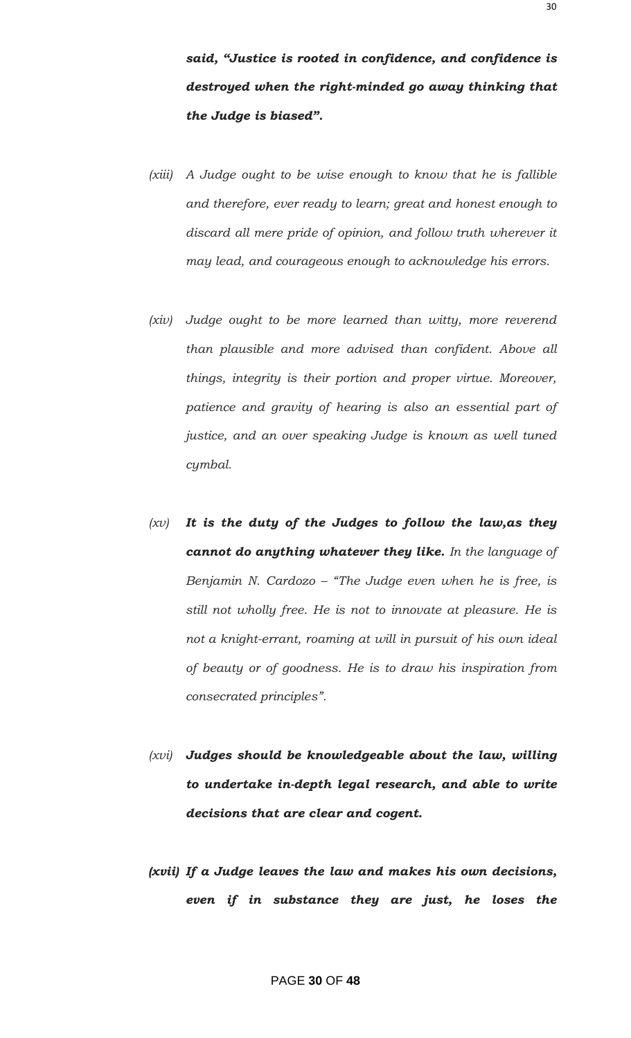*said, "Justice is rooted in confidence, and confidence is destroyed when the right-minded go away thinking that the Judge is biased".*

- *(xiii) A Judge ought to be wise enough to know that he is fallible and therefore, ever ready to learn; great and honest enough to discard all mere pride of opinion, and follow truth wherever it may lead, and courageous enough to acknowledge his errors.*
- *(xiv) Judge ought to be more learned than witty, more reverend than plausible and more advised than confident. Above all things, integrity is their portion and proper virtue. Moreover, patience and gravity of hearing is also an essential part of justice, and an over speaking Judge is known as well tuned cymbal.*
- *(xv) It is the duty of the Judges to follow the law,as they cannot do anything whatever they like. In the language of Benjamin N. Cardozo – "The Judge even when he is free, is still not wholly free. He is not to innovate at pleasure. He is not a knight-errant, roaming at will in pursuit of his own ideal of beauty or of goodness. He is to draw his inspiration from consecrated principles".*
- *(xvi) Judges should be knowledgeable about the law, willing to undertake in-depth legal research, and able to write decisions that are clear and cogent.*
- *(xvii) If a Judge leaves the law and makes his own decisions, even if in substance they are just, he loses the*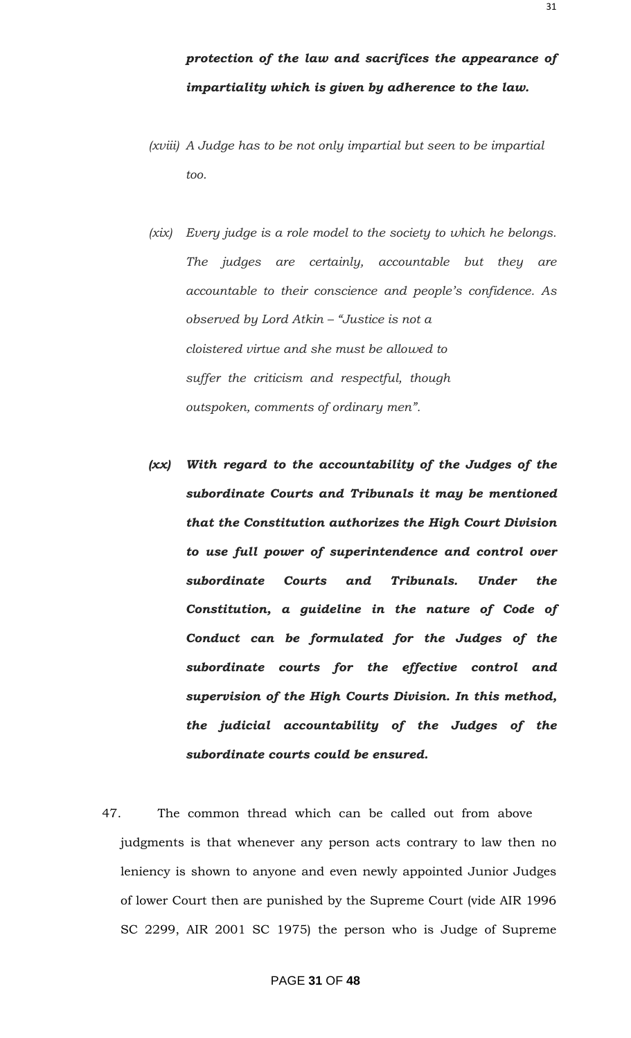31

- *(xviii) A Judge has to be not only impartial but seen to be impartial too.*
- *(xix) Every judge is a role model to the society to which he belongs. The judges are certainly, accountable but they are accountable to their conscience and people"s confidence. As observed by Lord Atkin – "Justice is not a cloistered virtue and she must be allowed to suffer the criticism and respectful, though outspoken, comments of ordinary men".*
- *(xx) With regard to the accountability of the Judges of the subordinate Courts and Tribunals it may be mentioned that the Constitution authorizes the High Court Division to use full power of superintendence and control over subordinate Courts and Tribunals. Under the Constitution, a guideline in the nature of Code of Conduct can be formulated for the Judges of the subordinate courts for the effective control and supervision of the High Courts Division. In this method, the judicial accountability of the Judges of the subordinate courts could be ensured.*
- 47. The common thread which can be called out from above judgments is that whenever any person acts contrary to law then no leniency is shown to anyone and even newly appointed Junior Judges of lower Court then are punished by the Supreme Court (vide AIR 1996 SC 2299, AIR 2001 SC 1975) the person who is Judge of Supreme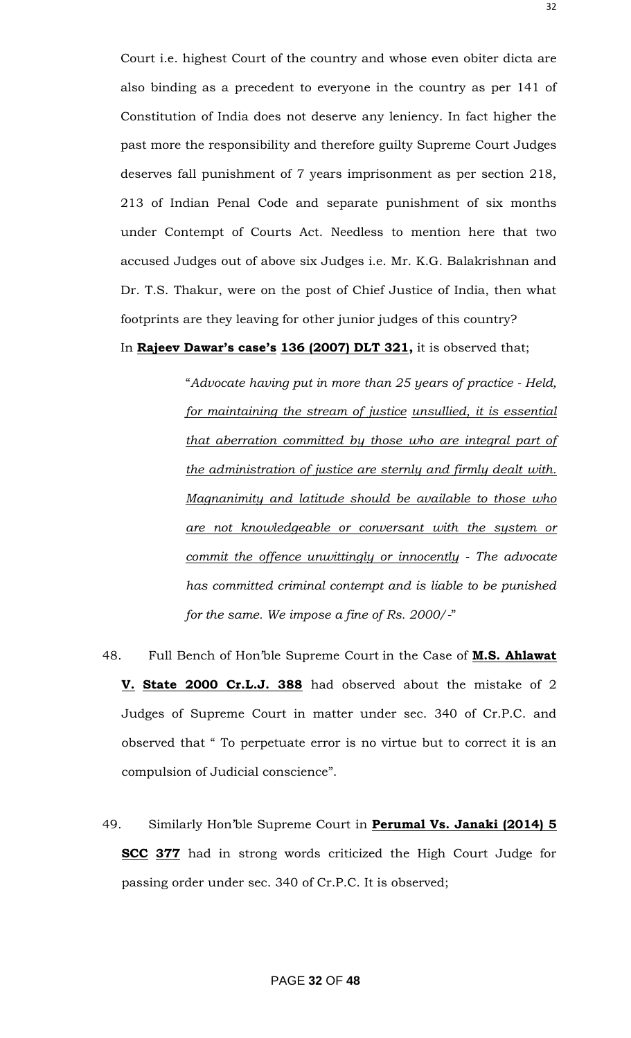Court i.e. highest Court of the country and whose even obiter dicta are also binding as a precedent to everyone in the country as per 141 of Constitution of India does not deserve any leniency. In fact higher the past more the responsibility and therefore guilty Supreme Court Judges deserves fall punishment of 7 years imprisonment as per section 218, 213 of Indian Penal Code and separate punishment of six months under Contempt of Courts Act. Needless to mention here that two accused Judges out of above six Judges i.e. Mr. K.G. Balakrishnan and Dr. T.S. Thakur, were on the post of Chief Justice of India, then what footprints are they leaving for other junior judges of this country?

#### In **Rajeev Dawar's case's 136 (2007) DLT 321,** it is observed that;

"*Advocate having put in more than 25 years of practice - Held, for maintaining the stream of justice unsullied, it is essential that aberration committed by those who are integral part of the administration of justice are sternly and firmly dealt with. Magnanimity and latitude should be available to those who are not knowledgeable or conversant with the system or commit the offence unwittingly or innocently - The advocate has committed criminal contempt and is liable to be punished for the same. We impose a fine of Rs. 2000/-*"

- 48. Full Bench of Hon"ble Supreme Court in the Case of **M.S. Ahlawat V. State 2000 Cr.L.J. 388** had observed about the mistake of 2 Judges of Supreme Court in matter under sec. 340 of Cr.P.C. and observed that " To perpetuate error is no virtue but to correct it is an compulsion of Judicial conscience".
- 49. Similarly Hon"ble Supreme Court in **Perumal Vs. Janaki (2014) 5 SCC 377** had in strong words criticized the High Court Judge for passing order under sec. 340 of Cr.P.C. It is observed;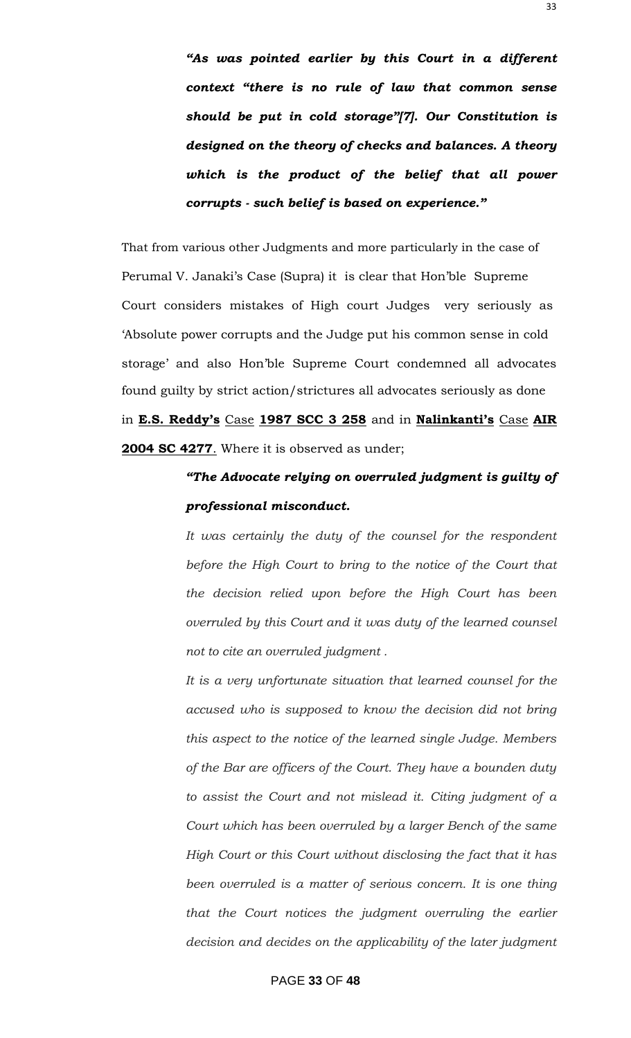*"As was pointed earlier by this Court in a different context "there is no rule of law that common sense should be put in cold storage"[7]. Our Constitution is designed on the theory of checks and balances. A theory which is the product of the belief that all power corrupts - such belief is based on experience."*

That from various other Judgments and more particularly in the case of Perumal V. Janaki's Case (Supra) it is clear that Hon'ble Supreme Court considers mistakes of High court Judges very seriously as "Absolute power corrupts and the Judge put his common sense in cold storage' and also Hon'ble Supreme Court condemned all advocates found guilty by strict action/strictures all advocates seriously as done in **E.S. Reddy's** Case **1987 SCC 3 258** and in **Nalinkanti's** Case **AIR 2004 SC 4277**. Where it is observed as under;

### *"The Advocate relying on overruled judgment is guilty of professional misconduct.*

*It was certainly the duty of the counsel for the respondent before the High Court to bring to the notice of the Court that the decision relied upon before the High Court has been overruled by this Court and it was duty of the learned counsel not to cite an overruled judgment .*

*It is a very unfortunate situation that learned counsel for the accused who is supposed to know the decision did not bring this aspect to the notice of the learned single Judge. Members of the Bar are officers of the Court. They have a bounden duty to assist the Court and not mislead it. Citing judgment of a Court which has been overruled by a larger Bench of the same High Court or this Court without disclosing the fact that it has been overruled is a matter of serious concern. It is one thing* that the Court notices the judgment overruling the earlier *decision and decides on the applicability of the later judgment*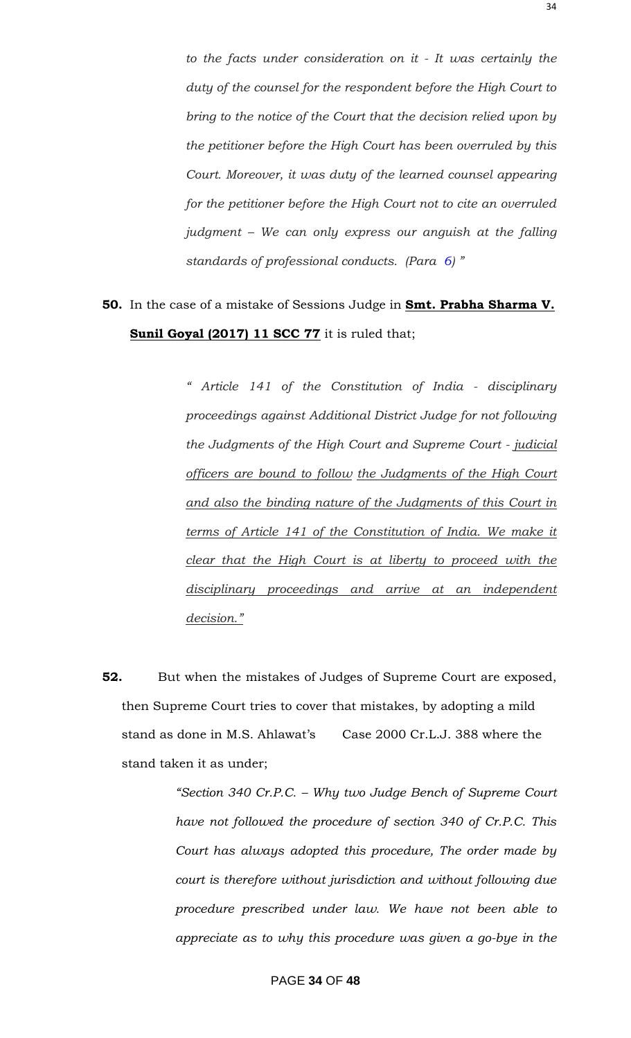*to the facts under consideration on it - It was certainly the duty of the counsel for the respondent before the High Court to bring to the notice of the Court that the decision relied upon by the petitioner before the High Court has been overruled by this Court. Moreover, it was duty of the learned counsel appearing for the petitioner before the High Court not to cite an overruled judgment – We can only express our anguish at the falling standards of professional conducts. (Para 6) "*

### **50.** In the case of a mistake of Sessions Judge in **Smt. Prabha Sharma V. Sunil Goyal (2017) 11 SCC 77** it is ruled that;

*" Article 141 of the Constitution of India - disciplinary proceedings against Additional District Judge for not following the Judgments of the High Court and Supreme Court - judicial officers are bound to follow the Judgments of the High Court and also the binding nature of the Judgments of this Court in terms of Article 141 of the Constitution of India. We make it clear that the High Court is at liberty to proceed with the disciplinary proceedings and arrive at an independent decision."*

**52.** But when the mistakes of Judges of Supreme Court are exposed, then Supreme Court tries to cover that mistakes, by adopting a mild stand as done in M.S. Ahlawat's Case 2000 Cr.L.J. 388 where the stand taken it as under;

> *"Section 340 Cr.P.C. – Why two Judge Bench of Supreme Court have not followed the procedure of section 340 of Cr.P.C. This Court has always adopted this procedure, The order made by court is therefore without jurisdiction and without following due procedure prescribed under law. We have not been able to appreciate as to why this procedure was given a go-bye in the*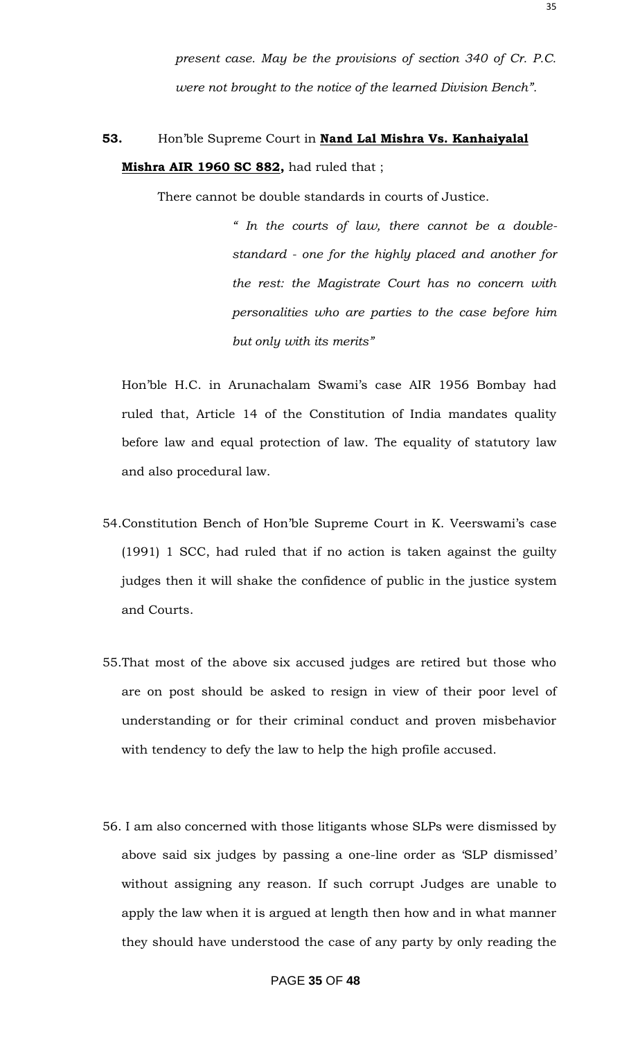*present case. May be the provisions of section 340 of Cr. P.C. were not brought to the notice of the learned Division Bench".*

### **53.** Hon"ble Supreme Court in **Nand Lal Mishra Vs. Kanhaiyalal Mishra AIR 1960 SC 882,** had ruled that ;

There cannot be double standards in courts of Justice.

*" In the courts of law, there cannot be a doublestandard - one for the highly placed and another for the rest: the Magistrate Court has no concern with personalities who are parties to the case before him but only with its merits"*

Hon'ble H.C. in Arunachalam Swami's case AIR 1956 Bombay had ruled that, Article 14 of the Constitution of India mandates quality before law and equal protection of law. The equality of statutory law and also procedural law.

- 54.Constitution Bench of Hon"ble Supreme Court in K. Veerswami"s case (1991) 1 SCC, had ruled that if no action is taken against the guilty judges then it will shake the confidence of public in the justice system and Courts.
- 55.That most of the above six accused judges are retired but those who are on post should be asked to resign in view of their poor level of understanding or for their criminal conduct and proven misbehavior with tendency to defy the law to help the high profile accused.
- 56. I am also concerned with those litigants whose SLPs were dismissed by above said six judges by passing a one-line order as "SLP dismissed" without assigning any reason. If such corrupt Judges are unable to apply the law when it is argued at length then how and in what manner they should have understood the case of any party by only reading the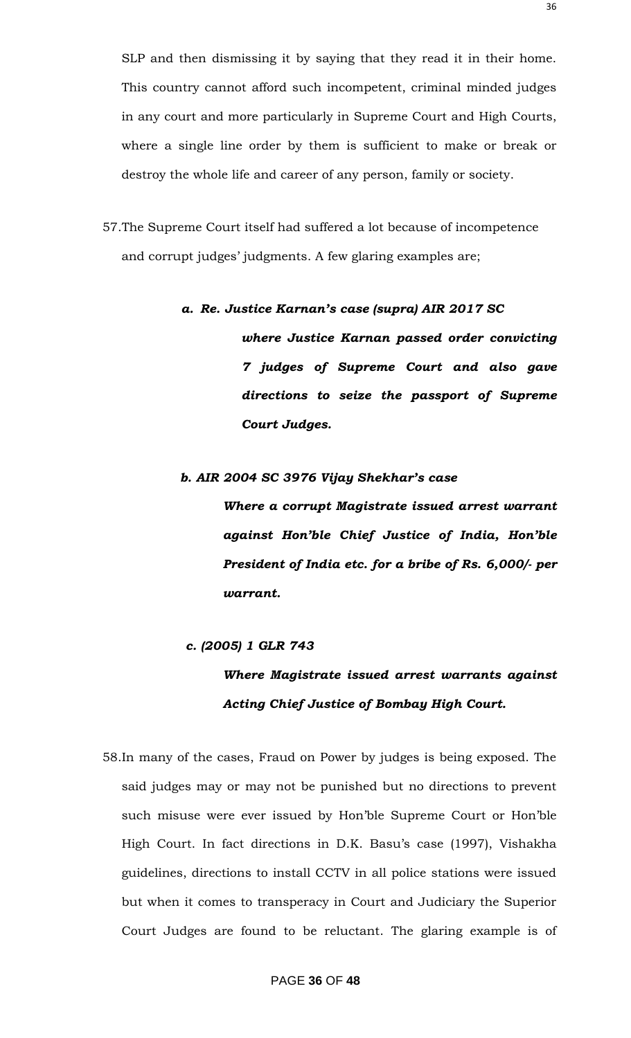SLP and then dismissing it by saying that they read it in their home. This country cannot afford such incompetent, criminal minded judges in any court and more particularly in Supreme Court and High Courts, where a single line order by them is sufficient to make or break or destroy the whole life and career of any person, family or society.

57.The Supreme Court itself had suffered a lot because of incompetence and corrupt judges' judgments. A few glaring examples are;

#### *a. Re. Justice Karnan"s case (supra) AIR 2017 SC*

*where Justice Karnan passed order convicting 7 judges of Supreme Court and also gave directions to seize the passport of Supreme Court Judges.*

#### *b. AIR 2004 SC 3976 Vijay Shekhar"s case*

*Where a corrupt Magistrate issued arrest warrant against Hon"ble Chief Justice of India, Hon"ble President of India etc. for a bribe of Rs. 6,000/- per warrant.*

#### *c. (2005) 1 GLR 743*

### *Where Magistrate issued arrest warrants against Acting Chief Justice of Bombay High Court.*

58.In many of the cases, Fraud on Power by judges is being exposed. The said judges may or may not be punished but no directions to prevent such misuse were ever issued by Hon"ble Supreme Court or Hon"ble High Court. In fact directions in D.K. Basu's case (1997), Vishakha guidelines, directions to install CCTV in all police stations were issued but when it comes to transperacy in Court and Judiciary the Superior Court Judges are found to be reluctant. The glaring example is of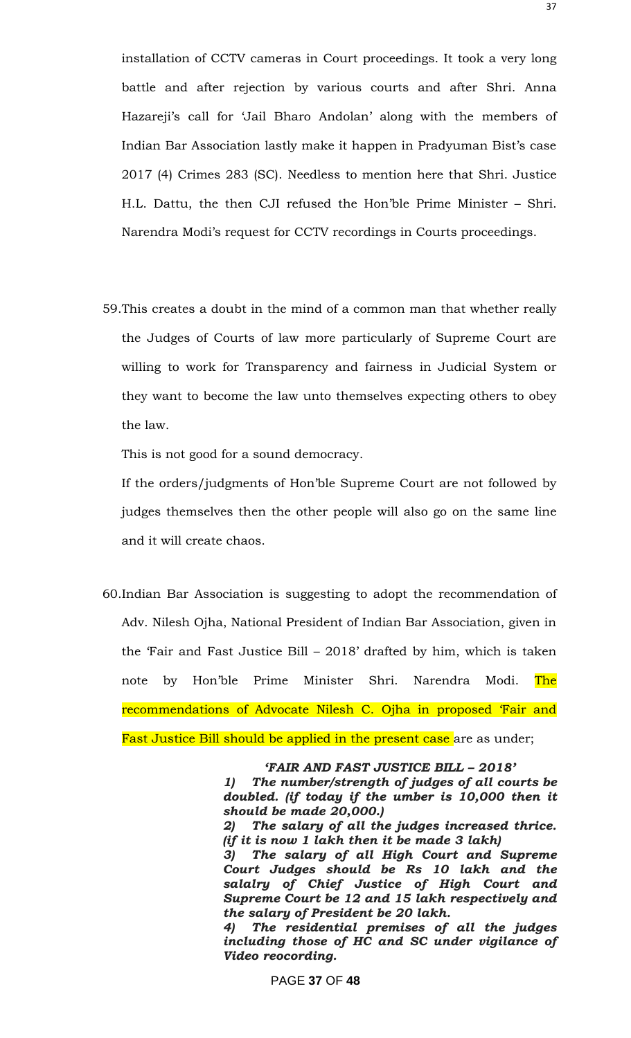installation of CCTV cameras in Court proceedings. It took a very long battle and after rejection by various courts and after Shri. Anna Hazareji's call for 'Jail Bharo Andolan' along with the members of Indian Bar Association lastly make it happen in Pradyuman Bist's case 2017 (4) Crimes 283 (SC). Needless to mention here that Shri. Justice H.L. Dattu, the then CJI refused the Hon"ble Prime Minister – Shri. Narendra Modi"s request for CCTV recordings in Courts proceedings.

59.This creates a doubt in the mind of a common man that whether really the Judges of Courts of law more particularly of Supreme Court are willing to work for Transparency and fairness in Judicial System or they want to become the law unto themselves expecting others to obey the law.

This is not good for a sound democracy.

If the orders/judgments of Hon"ble Supreme Court are not followed by judges themselves then the other people will also go on the same line and it will create chaos.

60.Indian Bar Association is suggesting to adopt the recommendation of Adv. Nilesh Ojha, National President of Indian Bar Association, given in the "Fair and Fast Justice Bill – 2018" drafted by him, which is taken note by Hon'ble Prime Minister Shri. Narendra Modi. The recommendations of Advocate Nilesh C. Ojha in proposed "Fair and

Fast Justice Bill should be applied in the present case are as under;

#### *"FAIR AND FAST JUSTICE BILL – 2018"*

*1) The number/strength of judges of all courts be doubled. (if today if the umber is 10,000 then it should be made 20,000.)*

*2) The salary of all the judges increased thrice. (if it is now 1 lakh then it be made 3 lakh)*

*3) The salary of all High Court and Supreme Court Judges should be Rs 10 lakh and the salalry of Chief Justice of High Court and Supreme Court be 12 and 15 lakh respectively and the salary of President be 20 lakh.*

*4) The residential premises of all the judges including those of HC and SC under vigilance of Video reocording.*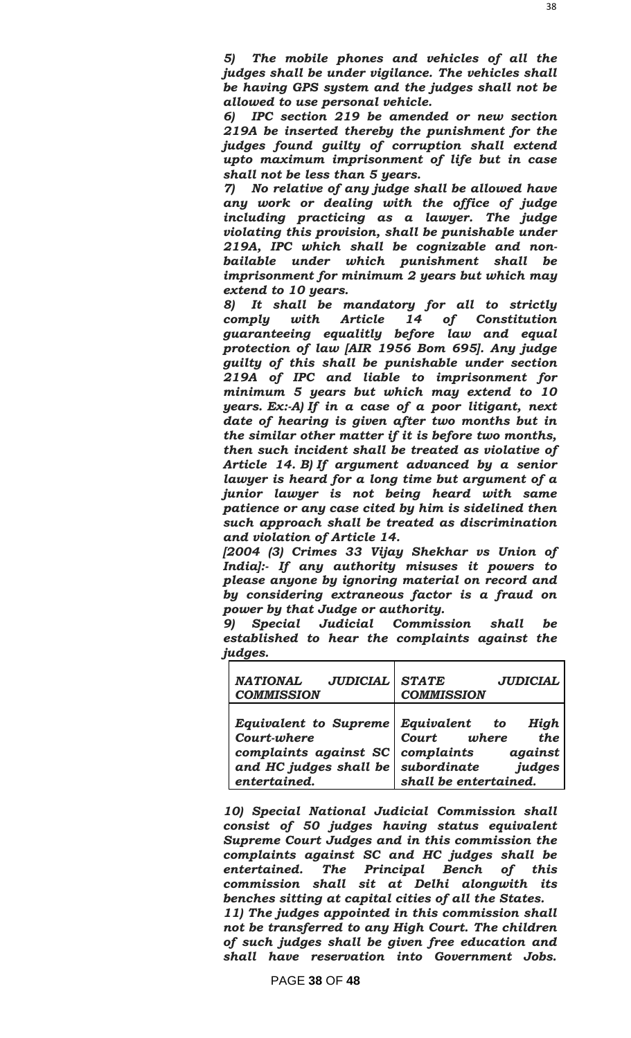*6) IPC section 219 be amended or new section 219A be inserted thereby the punishment for the judges found guilty of corruption shall extend upto maximum imprisonment of life but in case shall not be less than 5 years.*

*7) No relative of any judge shall be allowed have any work or dealing with the office of judge including practicing as a lawyer. The judge violating this provision, shall be punishable under 219A, IPC which shall be cognizable and nonbailable under which punishment shall be imprisonment for minimum 2 years but which may extend to 10 years.*

*8) It shall be mandatory for all to strictly comply with Article 14 of Constitution guaranteeing equalitly before law and equal protection of law [AIR 1956 Bom 695]. Any judge guilty of this shall be punishable under section 219A of IPC and liable to imprisonment for minimum 5 years but which may extend to 10 years. Ex:-A) If in a case of a poor litigant, next date of hearing is given after two months but in the similar other matter if it is before two months, then such incident shall be treated as violative of Article 14. B) If argument advanced by a senior lawyer is heard for a long time but argument of a junior lawyer is not being heard with same patience or any case cited by him is sidelined then such approach shall be treated as discrimination and violation of Article 14.*

*[2004 (3) Crimes 33 Vijay Shekhar vs Union of India]:- If any authority misuses it powers to please anyone by ignoring material on record and by considering extraneous factor is a fraud on power by that Judge or authority.*

*9) Special Judicial Commission shall be established to hear the complaints against the judges.*

| <b>NATIONAL</b>                                                                                         | <b>STATE</b>                                                                                                           |
|---------------------------------------------------------------------------------------------------------|------------------------------------------------------------------------------------------------------------------------|
| <b>JUDICIAL</b>                                                                                         | <b>JUDICIAL</b>                                                                                                        |
| <b>COMMISSION</b>                                                                                       | <b>COMMISSION</b>                                                                                                      |
| Equivalent to Supreme<br>Court-where<br>complaints against SC<br>and HC judges shall be<br>entertained. | Equivalent to<br>High<br>Court where<br>the<br>complaints<br>against<br>judges<br>subordinate<br>shall be entertained. |

*10) Special National Judicial Commission shall consist of 50 judges having status equivalent Supreme Court Judges and in this commission the complaints against SC and HC judges shall be entertained. The Principal Bench of this commission shall sit at Delhi alongwith its benches sitting at capital cities of all the States. 11) The judges appointed in this commission shall* 

*not be transferred to any High Court. The children of such judges shall be given free education and shall have reservation into Government Jobs.*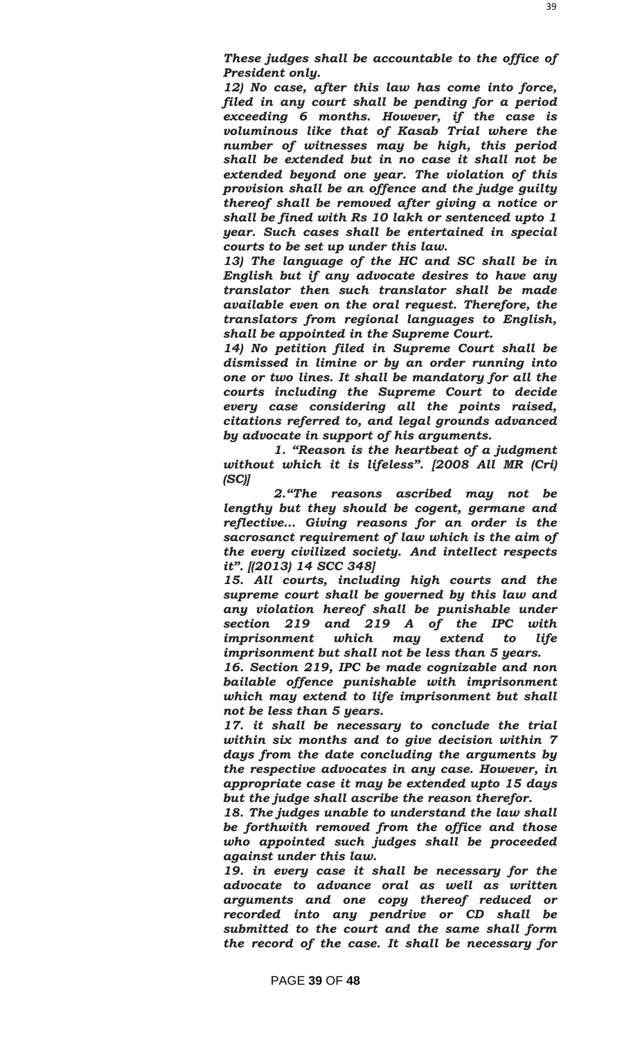*These judges shall be accountable to the office of President only.*

*12) No case, after this law has come into force, filed in any court shall be pending for a period exceeding 6 months. However, if the case is voluminous like that of Kasab Trial where the number of witnesses may be high, this period shall be extended but in no case it shall not be extended beyond one year. The violation of this provision shall be an offence and the judge guilty thereof shall be removed after giving a notice or shall be fined with Rs 10 lakh or sentenced upto 1 year. Such cases shall be entertained in special courts to be set up under this law.*

*13) The language of the HC and SC shall be in English but if any advocate desires to have any translator then such translator shall be made available even on the oral request. Therefore, the translators from regional languages to English, shall be appointed in the Supreme Court.*

*14) No petition filed in Supreme Court shall be dismissed in limine or by an order running into one or two lines. It shall be mandatory for all the courts including the Supreme Court to decide every case considering all the points raised, citations referred to, and legal grounds advanced by advocate in support of his arguments.*

 *1. "Reason is the heartbeat of a judgment without which it is lifeless". [2008 All MR (Cri) (SC)]*

 *2."The reasons ascribed may not be lengthy but they should be cogent, germane and reflective… Giving reasons for an order is the sacrosanct requirement of law which is the aim of the every civilized society. And intellect respects it". [(2013) 14 SCC 348]*

*15. All courts, including high courts and the supreme court shall be governed by this law and any violation hereof shall be punishable under section 219 and 219 A of the IPC with imprisonment which may extend to life imprisonment but shall not be less than 5 years.*

*16. Section 219, IPC be made cognizable and non bailable offence punishable with imprisonment which may extend to life imprisonment but shall not be less than 5 years.*

*17. it shall be necessary to conclude the trial within six months and to give decision within 7 days from the date concluding the arguments by the respective advocates in any case. However, in appropriate case it may be extended upto 15 days but the judge shall ascribe the reason therefor.*

*18. The judges unable to understand the law shall be forthwith removed from the office and those who appointed such judges shall be proceeded against under this law.*

*19. in every case it shall be necessary for the advocate to advance oral as well as written arguments and one copy thereof reduced or recorded into any pendrive or CD shall be submitted to the court and the same shall form the record of the case. It shall be necessary for*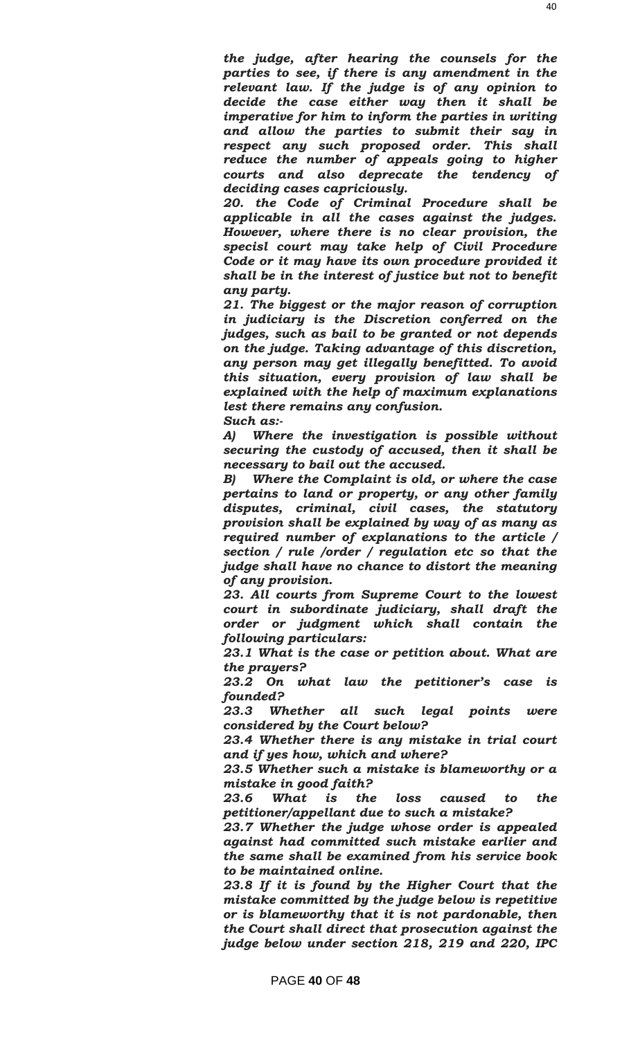*the judge, after hearing the counsels for the parties to see, if there is any amendment in the relevant law. If the judge is of any opinion to decide the case either way then it shall be imperative for him to inform the parties in writing and allow the parties to submit their say in respect any such proposed order. This shall reduce the number of appeals going to higher courts and also deprecate the tendency of deciding cases capriciously.*

*20. the Code of Criminal Procedure shall be applicable in all the cases against the judges. However, where there is no clear provision, the specisl court may take help of Civil Procedure Code or it may have its own procedure provided it shall be in the interest of justice but not to benefit any party.*

*21. The biggest or the major reason of corruption in judiciary is the Discretion conferred on the judges, such as bail to be granted or not depends on the judge. Taking advantage of this discretion, any person may get illegally benefitted. To avoid this situation, every provision of law shall be explained with the help of maximum explanations lest there remains any confusion. Such as:-*

*A) Where the investigation is possible without securing the custody of accused, then it shall be necessary to bail out the accused.*

*B) Where the Complaint is old, or where the case pertains to land or property, or any other family disputes, criminal, civil cases, the statutory provision shall be explained by way of as many as required number of explanations to the article / section / rule /order / regulation etc so that the judge shall have no chance to distort the meaning of any provision.*

*23. All courts from Supreme Court to the lowest court in subordinate judiciary, shall draft the order or judgment which shall contain the following particulars:*

*23.1 What is the case or petition about. What are the prayers?*

*23.2 On what law the petitioner"s case is founded?*

*23.3 Whether all such legal points were considered by the Court below?*

*23.4 Whether there is any mistake in trial court and if yes how, which and where?*

*23.5 Whether such a mistake is blameworthy or a mistake in good faith?*

*23.6 What is the loss caused to the petitioner/appellant due to such a mistake?*

*23.7 Whether the judge whose order is appealed against had committed such mistake earlier and the same shall be examined from his service book to be maintained online.*

*23.8 If it is found by the Higher Court that the mistake committed by the judge below is repetitive or is blameworthy that it is not pardonable, then the Court shall direct that prosecution against the judge below under section 218, 219 and 220, IPC*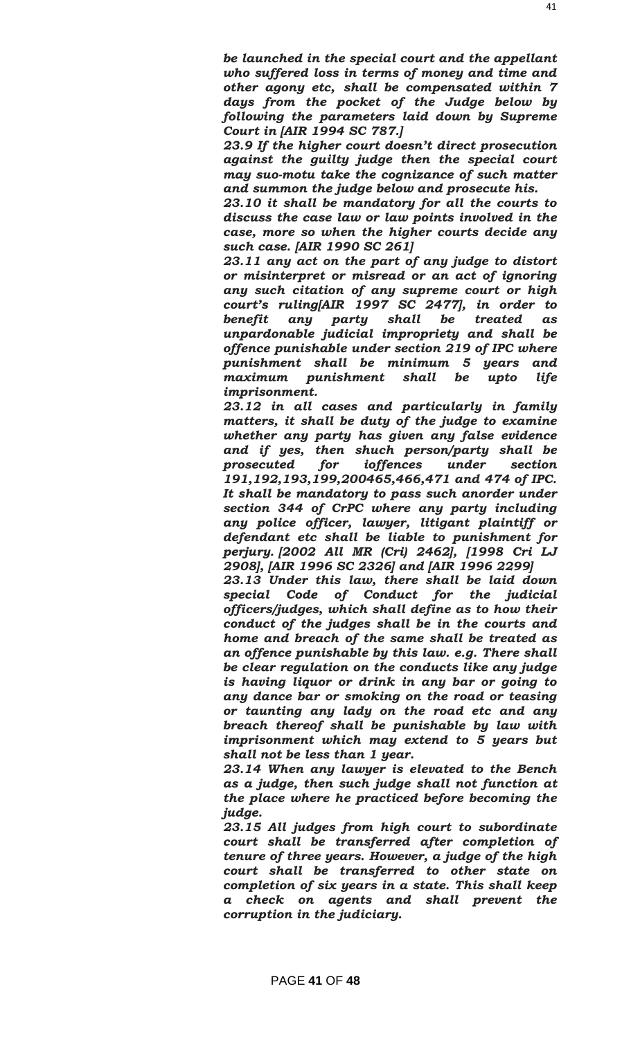*be launched in the special court and the appellant who suffered loss in terms of money and time and other agony etc, shall be compensated within 7 days from the pocket of the Judge below by following the parameters laid down by Supreme Court in [AIR 1994 SC 787.]*

*23.9 If the higher court doesn"t direct prosecution against the guilty judge then the special court may suo-motu take the cognizance of such matter and summon the judge below and prosecute his.*

*23.10 it shall be mandatory for all the courts to discuss the case law or law points involved in the case, more so when the higher courts decide any such case. [AIR 1990 SC 261]*

*23.11 any act on the part of any judge to distort or misinterpret or misread or an act of ignoring any such citation of any supreme court or high court"s ruling[AIR 1997 SC 2477], in order to benefit any party shall be treated as unpardonable judicial impropriety and shall be offence punishable under section 219 of IPC where punishment shall be minimum 5 years and maximum punishment shall be upto life imprisonment.*

*23.12 in all cases and particularly in family matters, it shall be duty of the judge to examine whether any party has given any false evidence and if yes, then shuch person/party shall be prosecuted for ioffences under section 191,192,193,199,200465,466,471 and 474 of IPC. It shall be mandatory to pass such anorder under section 344 of CrPC where any party including any police officer, lawyer, litigant plaintiff or defendant etc shall be liable to punishment for perjury. [2002 All MR (Cri) 2462], [1998 Cri LJ 2908], [AIR 1996 SC 2326] and [AIR 1996 2299]*

*23.13 Under this law, there shall be laid down special Code of Conduct for the judicial officers/judges, which shall define as to how their conduct of the judges shall be in the courts and home and breach of the same shall be treated as an offence punishable by this law. e.g. There shall be clear regulation on the conducts like any judge is having liquor or drink in any bar or going to any dance bar or smoking on the road or teasing or taunting any lady on the road etc and any breach thereof shall be punishable by law with imprisonment which may extend to 5 years but shall not be less than 1 year.*

*23.14 When any lawyer is elevated to the Bench as a judge, then such judge shall not function at the place where he practiced before becoming the judge.*

*23.15 All judges from high court to subordinate court shall be transferred after completion of tenure of three years. However, a judge of the high court shall be transferred to other state on completion of six years in a state. This shall keep a check on agents and shall prevent the corruption in the judiciary.*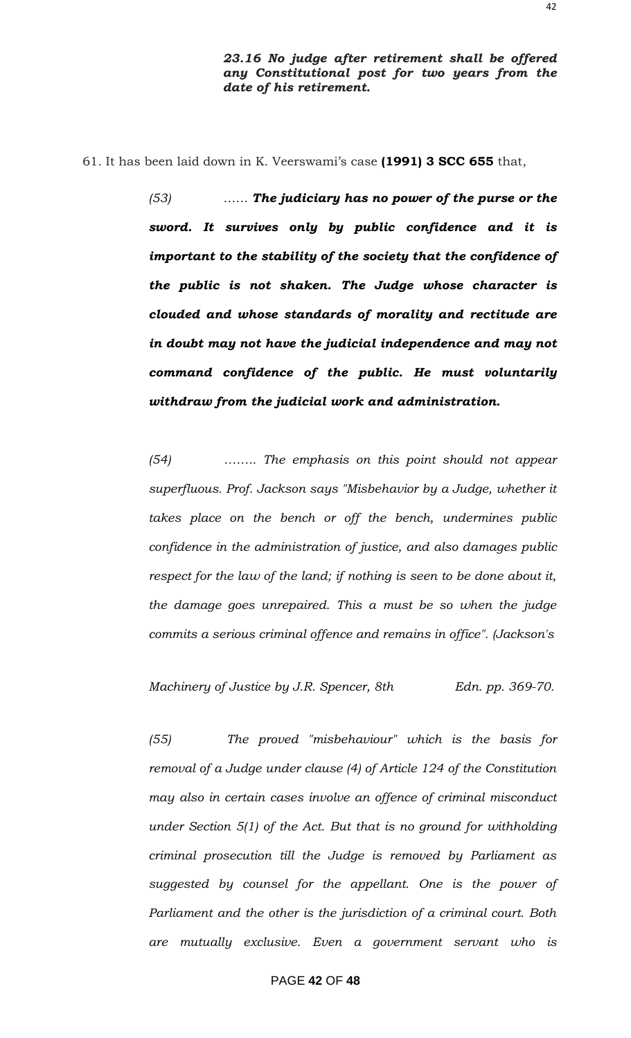61. It has been laid down in K. Veerswami"s case **(1991) 3 SCC 655** that,

*(53) …… The judiciary has no power of the purse or the sword. It survives only by public confidence and it is important to the stability of the society that the confidence of the public is not shaken. The Judge whose character is clouded and whose standards of morality and rectitude are in doubt may not have the judicial independence and may not command confidence of the public. He must voluntarily withdraw from the judicial work and administration.*

*(54) …….. The emphasis on this point should not appear superfluous. Prof. Jackson says "Misbehavior by a Judge, whether it takes place on the bench or off the bench, undermines public confidence in the administration of justice, and also damages public respect for the law of the land; if nothing is seen to be done about it, the damage goes unrepaired. This a must be so when the judge commits a serious criminal offence and remains in office". (Jackson's*

*Machinery of Justice by J.R. Spencer, 8th Edn. pp. 369-70.*

*(55) The proved "misbehaviour" which is the basis for removal of a Judge under clause (4) of Article 124 of the Constitution may also in certain cases involve an offence of criminal misconduct under Section 5(1) of the Act. But that is no ground for withholding criminal prosecution till the Judge is removed by Parliament as suggested by counsel for the appellant. One is the power of Parliament and the other is the jurisdiction of a criminal court. Both are mutually exclusive. Even a government servant who is*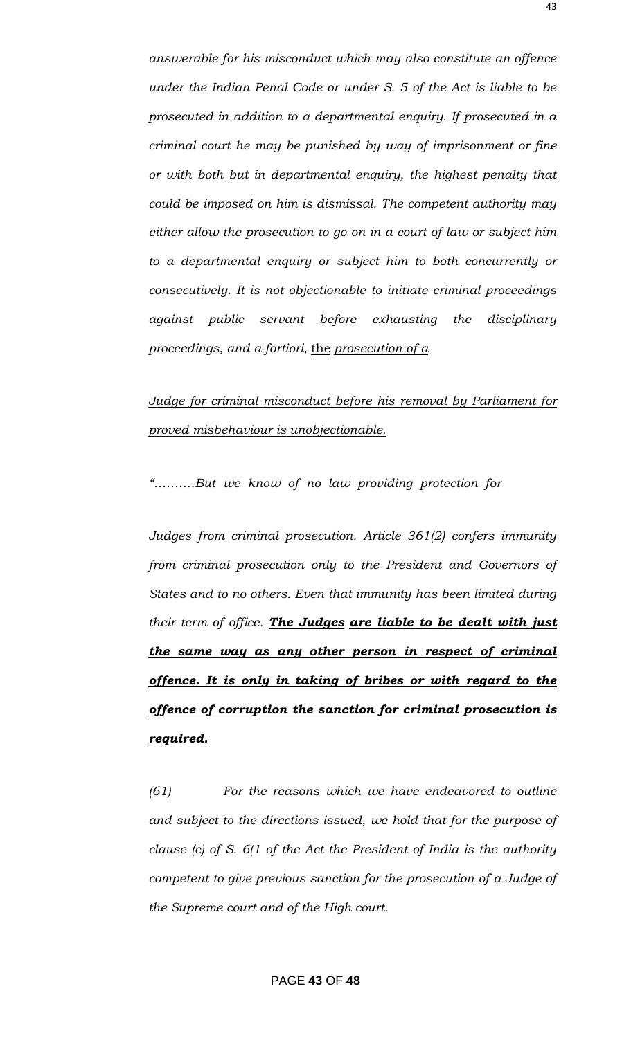*answerable for his misconduct which may also constitute an offence under the Indian Penal Code or under S. 5 of the Act is liable to be prosecuted in addition to a departmental enquiry. If prosecuted in a criminal court he may be punished by way of imprisonment or fine or with both but in departmental enquiry, the highest penalty that could be imposed on him is dismissal. The competent authority may either allow the prosecution to go on in a court of law or subject him to a departmental enquiry or subject him to both concurrently or consecutively. It is not objectionable to initiate criminal proceedings against public servant before exhausting the disciplinary proceedings, and a fortiori,* the *prosecution of a*

### *Judge for criminal misconduct before his removal by Parliament for proved misbehaviour is unobjectionable.*

*"……….But we know of no law providing protection for*

*Judges from criminal prosecution. Article 361(2) confers immunity from criminal prosecution only to the President and Governors of States and to no others. Even that immunity has been limited during their term of office. The Judges are liable to be dealt with just the same way as any other person in respect of criminal offence. It is only in taking of bribes or with regard to the offence of corruption the sanction for criminal prosecution is required.*

*(61) For the reasons which we have endeavored to outline and subject to the directions issued, we hold that for the purpose of clause (c) of S. 6(1 of the Act the President of India is the authority competent to give previous sanction for the prosecution of a Judge of the Supreme court and of the High court.*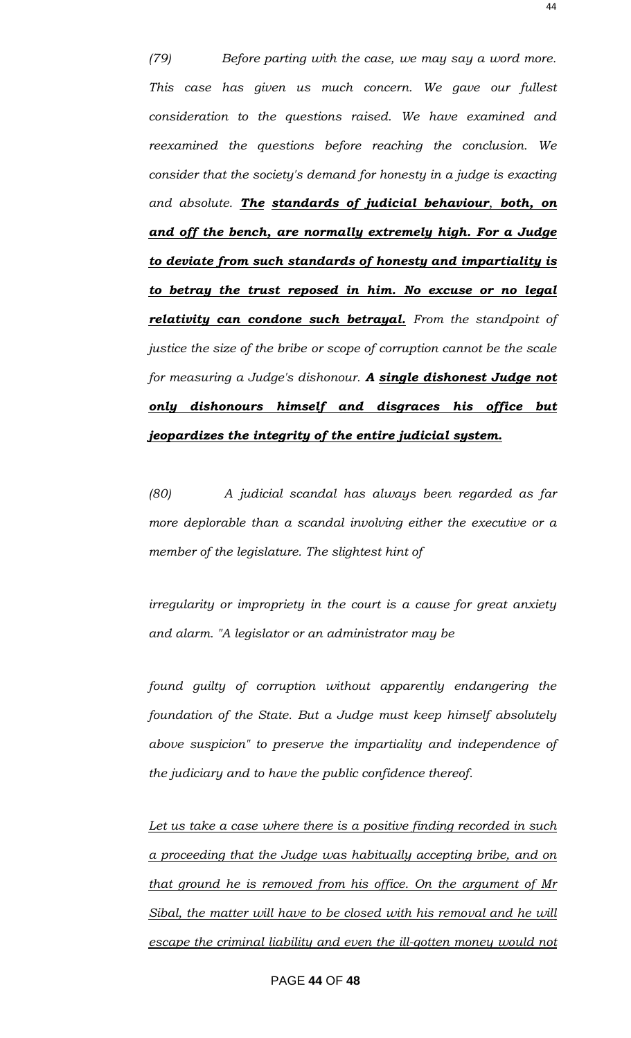*(79) Before parting with the case, we may say a word more. This case has given us much concern. We gave our fullest consideration to the questions raised. We have examined and reexamined the questions before reaching the conclusion. We consider that the society's demand for honesty in a judge is exacting and absolute. The standards of judicial behaviour*, *both, on and off the bench, are normally extremely high. For a Judge to deviate from such standards of honesty and impartiality is to betray the trust reposed in him. No excuse or no legal relativity can condone such betrayal. From the standpoint of justice the size of the bribe or scope of corruption cannot be the scale for measuring a Judge's dishonour. A single dishonest Judge not only dishonours himself and disgraces his office but jeopardizes the integrity of the entire judicial system.*

*(80) A judicial scandal has always been regarded as far more deplorable than a scandal involving either the executive or a member of the legislature. The slightest hint of*

*irregularity or impropriety in the court is a cause for great anxiety and alarm. "A legislator or an administrator may be*

*found guilty of corruption without apparently endangering the foundation of the State. But a Judge must keep himself absolutely above suspicion" to preserve the impartiality and independence of the judiciary and to have the public confidence thereof.*

*Let us take a case where there is a positive finding recorded in such a proceeding that the Judge was habitually accepting bribe, and on that ground he is removed from his office. On the argument of Mr Sibal, the matter will have to be closed with his removal and he will escape the criminal liability and even the ill-gotten money would not*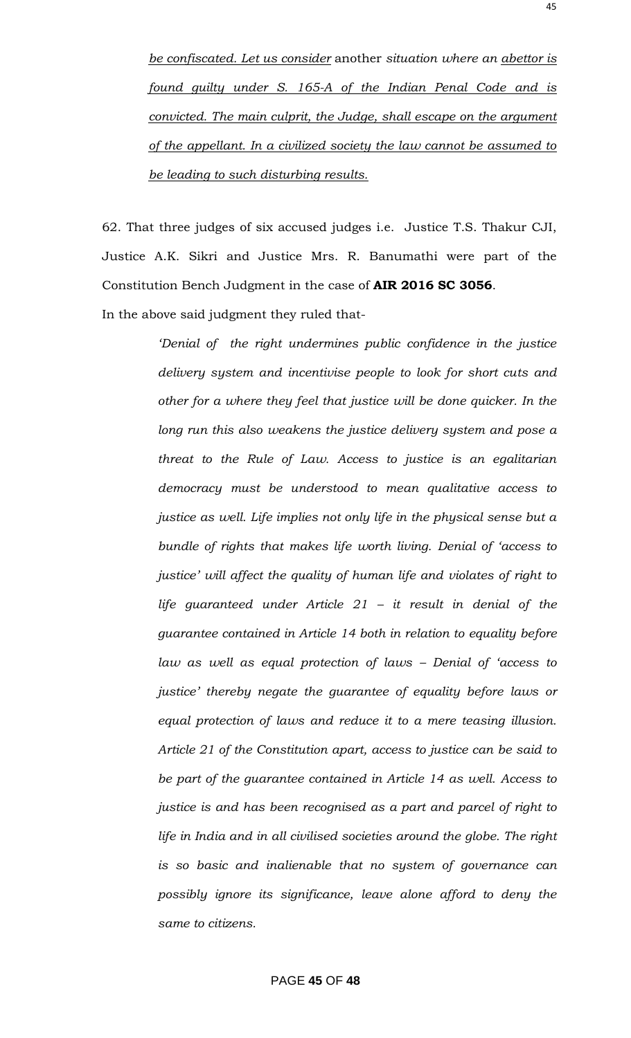*be confiscated. Let us consider* another *situation where an abettor is found guilty under S. 165-A of the Indian Penal Code and is convicted. The main culprit, the Judge, shall escape on the argument of the appellant. In a civilized society the law cannot be assumed to be leading to such disturbing results.*

62. That three judges of six accused judges i.e. Justice T.S. Thakur CJI, Justice A.K. Sikri and Justice Mrs. R. Banumathi were part of the Constitution Bench Judgment in the case of **AIR 2016 SC 3056**.

In the above said judgment they ruled that-

*"Denial of the right undermines public confidence in the justice delivery system and incentivise people to look for short cuts and other for a where they feel that justice will be done quicker. In the long run this also weakens the justice delivery system and pose a threat to the Rule of Law. Access to justice is an egalitarian democracy must be understood to mean qualitative access to justice as well. Life implies not only life in the physical sense but a bundle of rights that makes life worth living. Denial of "access to justice" will affect the quality of human life and violates of right to life guaranteed under Article 21 – it result in denial of the guarantee contained in Article 14 both in relation to equality before law as well as equal protection of laws – Denial of "access to justice" thereby negate the guarantee of equality before laws or equal protection of laws and reduce it to a mere teasing illusion. Article 21 of the Constitution apart, access to justice can be said to be part of the guarantee contained in Article 14 as well. Access to justice is and has been recognised as a part and parcel of right to life in India and in all civilised societies around the globe. The right is so basic and inalienable that no system of governance can possibly ignore its significance, leave alone afford to deny the same to citizens.*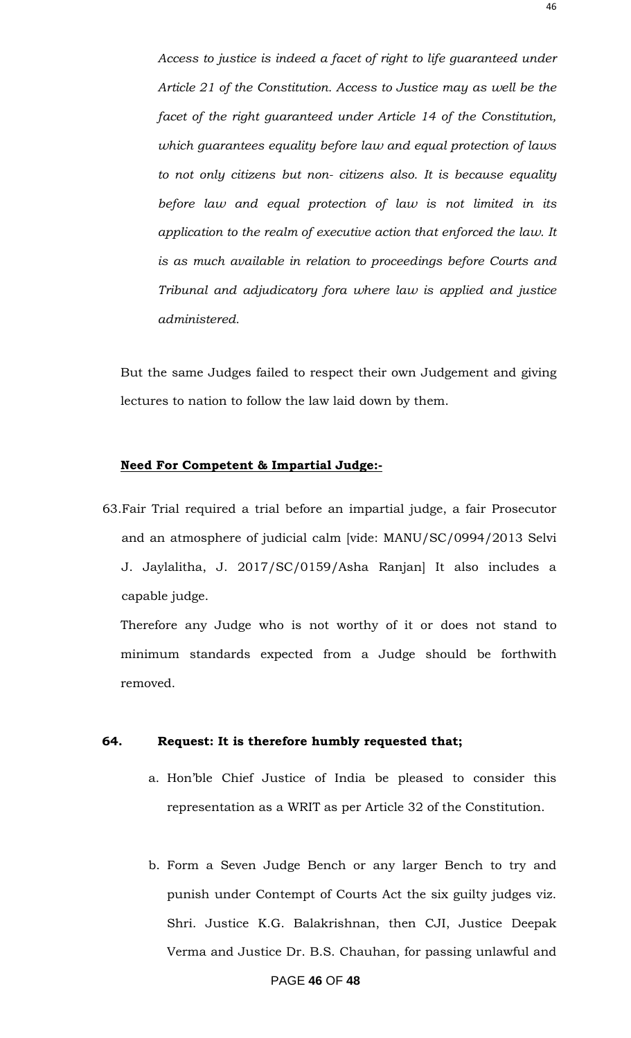*Access to justice is indeed a facet of right to life guaranteed under Article 21 of the Constitution. Access to Justice may as well be the facet of the right guaranteed under Article 14 of the Constitution, which guarantees equality before law and equal protection of laws to not only citizens but non- citizens also. It is because equality before law and equal protection of law is not limited in its application to the realm of executive action that enforced the law. It is as much available in relation to proceedings before Courts and Tribunal and adjudicatory fora where law is applied and justice administered.*

But the same Judges failed to respect their own Judgement and giving lectures to nation to follow the law laid down by them.

#### **Need For Competent & Impartial Judge:-**

63.Fair Trial required a trial before an impartial judge, a fair Prosecutor and an atmosphere of judicial calm [vide: MANU/SC/0994/2013 Selvi J. Jaylalitha, J. 2017/SC/0159/Asha Ranjan] It also includes a capable judge.

Therefore any Judge who is not worthy of it or does not stand to minimum standards expected from a Judge should be forthwith removed.

#### **64. Request: It is therefore humbly requested that;**

- a. Hon"ble Chief Justice of India be pleased to consider this representation as a WRIT as per Article 32 of the Constitution.
- b. Form a Seven Judge Bench or any larger Bench to try and punish under Contempt of Courts Act the six guilty judges viz. Shri. Justice K.G. Balakrishnan, then CJI, Justice Deepak Verma and Justice Dr. B.S. Chauhan, for passing unlawful and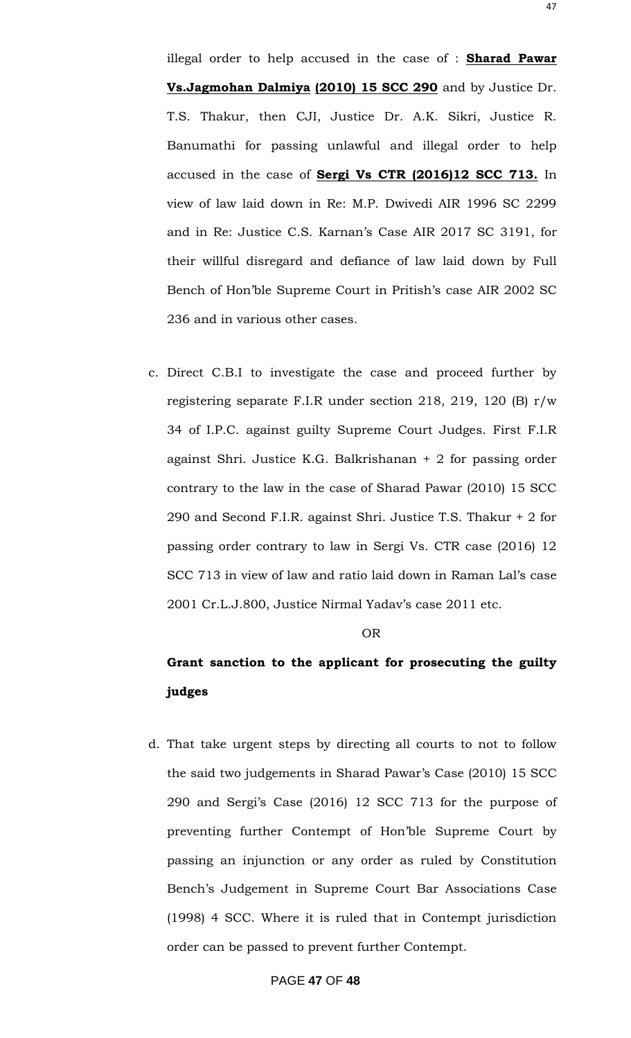illegal order to help accused in the case of : **Sharad Pawar Vs.Jagmohan Dalmiya (2010) 15 SCC 290** and by Justice Dr. T.S. Thakur, then CJI, Justice Dr. A.K. Sikri, Justice R. Banumathi for passing unlawful and illegal order to help accused in the case of **Sergi Vs CTR (2016)12 SCC 713.** In view of law laid down in Re: M.P. Dwivedi AIR 1996 SC 2299 and in Re: Justice C.S. Karnan"s Case AIR 2017 SC 3191, for their willful disregard and defiance of law laid down by Full Bench of Hon"ble Supreme Court in Pritish"s case AIR 2002 SC 236 and in various other cases.

c. Direct C.B.I to investigate the case and proceed further by registering separate F.I.R under section 218, 219, 120 (B) r/w 34 of I.P.C. against guilty Supreme Court Judges. First F.I.R against Shri. Justice K.G. Balkrishanan + 2 for passing order contrary to the law in the case of Sharad Pawar (2010) 15 SCC 290 and Second F.I.R. against Shri. Justice T.S. Thakur + 2 for passing order contrary to law in Sergi Vs. CTR case (2016) 12 SCC 713 in view of law and ratio laid down in Raman Lal"s case 2001 Cr.L.J.800, Justice Nirmal Yadav's case 2011 etc.

#### OR

### **Grant sanction to the applicant for prosecuting the guilty judges**

d. That take urgent steps by directing all courts to not to follow the said two judgements in Sharad Pawar"s Case (2010) 15 SCC 290 and Sergi"s Case (2016) 12 SCC 713 for the purpose of preventing further Contempt of Hon"ble Supreme Court by passing an injunction or any order as ruled by Constitution Bench"s Judgement in Supreme Court Bar Associations Case (1998) 4 SCC. Where it is ruled that in Contempt jurisdiction order can be passed to prevent further Contempt.

#### PAGE **47** OF **48**